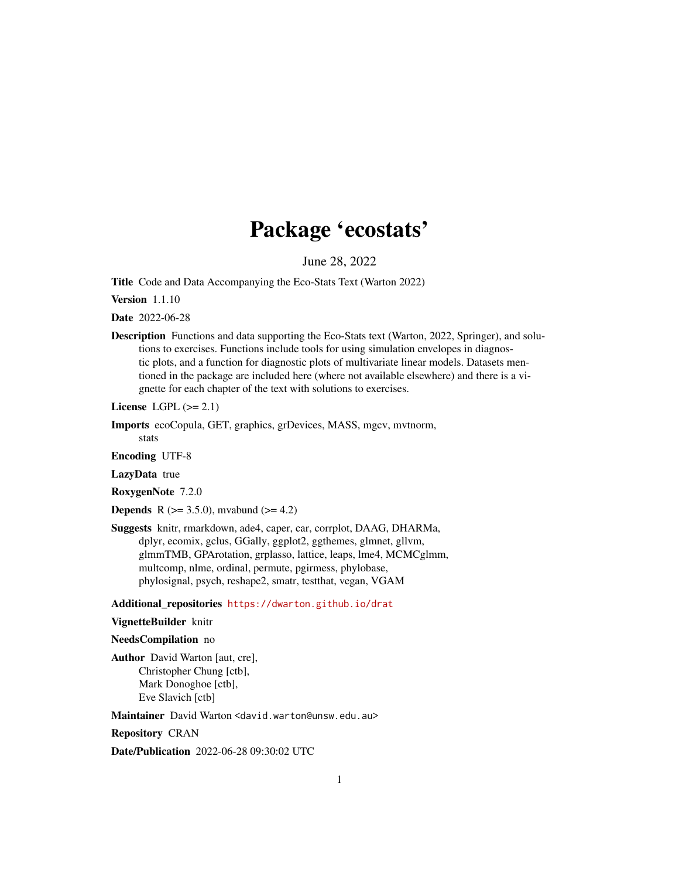# Package 'ecostats'

June 28, 2022

<span id="page-0-0"></span>Title Code and Data Accompanying the Eco-Stats Text (Warton 2022)

Version 1.1.10

Date 2022-06-28

Description Functions and data supporting the Eco-Stats text (Warton, 2022, Springer), and solutions to exercises. Functions include tools for using simulation envelopes in diagnostic plots, and a function for diagnostic plots of multivariate linear models. Datasets mentioned in the package are included here (where not available elsewhere) and there is a vignette for each chapter of the text with solutions to exercises.

License LGPL  $(>= 2.1)$ 

Imports ecoCopula, GET, graphics, grDevices, MASS, mgcv, mvtnorm,

stats Encoding UTF-8

LazyData true

RoxygenNote 7.2.0

**Depends** R ( $> = 3.5.0$ ), mvabund ( $> = 4.2$ )

Suggests knitr, rmarkdown, ade4, caper, car, corrplot, DAAG, DHARMa, dplyr, ecomix, gclus, GGally, ggplot2, ggthemes, glmnet, gllvm, glmmTMB, GPArotation, grplasso, lattice, leaps, lme4, MCMCglmm, multcomp, nlme, ordinal, permute, pgirmess, phylobase, phylosignal, psych, reshape2, smatr, testthat, vegan, VGAM

Additional\_repositories <https://dwarton.github.io/drat>

# VignetteBuilder knitr

NeedsCompilation no

Author David Warton [aut, cre], Christopher Chung [ctb], Mark Donoghoe [ctb], Eve Slavich [ctb]

Maintainer David Warton <david.warton@unsw.edu.au>

Repository CRAN

Date/Publication 2022-06-28 09:30:02 UTC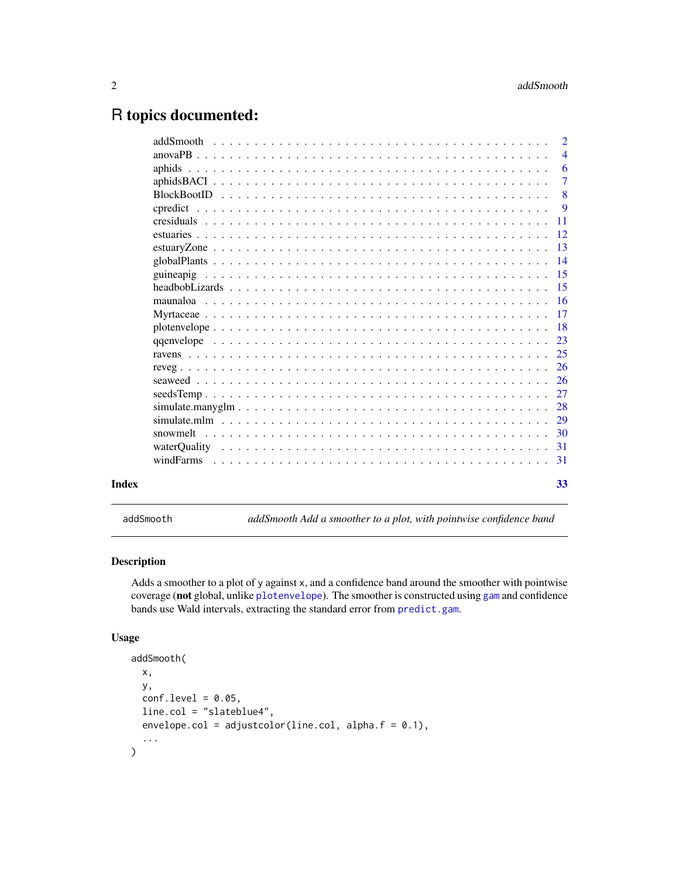# <span id="page-1-0"></span>R topics documented:

|       | $\overline{2}$ |
|-------|----------------|
|       | $\overline{4}$ |
|       | -6             |
|       | $\overline{7}$ |
|       | 8              |
|       | 9              |
|       |                |
|       |                |
|       |                |
|       |                |
|       |                |
|       |                |
|       |                |
|       |                |
|       |                |
|       |                |
|       |                |
|       |                |
|       |                |
|       |                |
|       | 28             |
|       | 29             |
|       |                |
|       |                |
|       |                |
|       |                |
| Index | 33             |

addSmooth *addSmooth Add a smoother to a plot, with pointwise confidence band*

# Description

Adds a smoother to a plot of y against x, and a confidence band around the smoother with pointwise coverage (not global, unlike [plotenvelope](#page-17-1)). The smoother is constructed using [gam](#page-0-0) and confidence bands use Wald intervals, extracting the standard error from [predict.gam](#page-0-0).

#### Usage

```
addSmooth(
 x,
 y,
  conf. level = 0.05,
  line.col = "slateblue4",
  envelope.col = adjustcolor(line.col, alpha.f = 0.1),
  ...
\mathcal{E}
```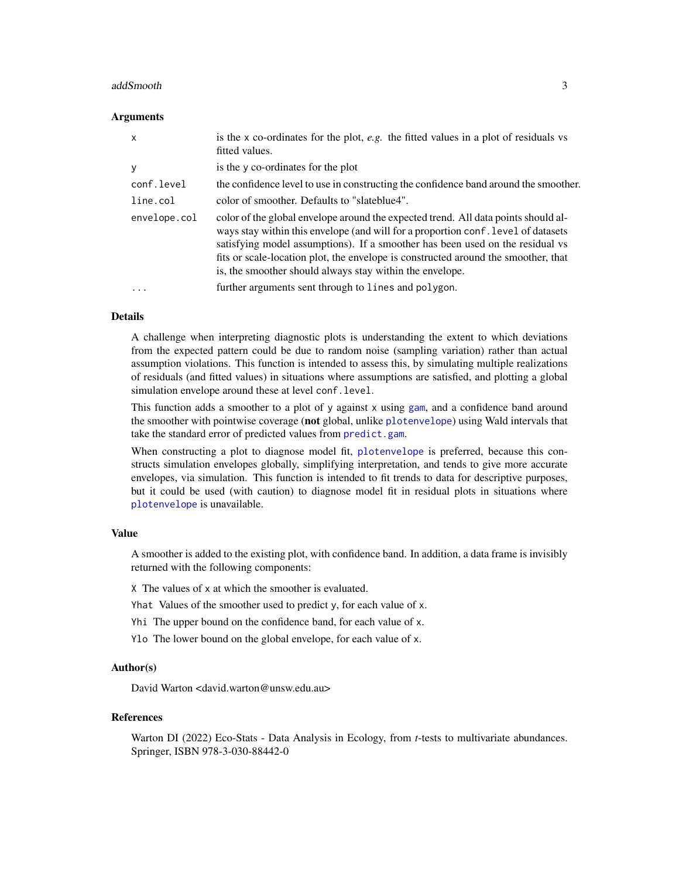#### <span id="page-2-0"></span>addSmooth 3

#### Arguments

| X            | is the $x$ co-ordinates for the plot, e.g. the fitted values in a plot of residuals vs<br>fitted values.                                                                                                                                                                                                                                                                                                   |
|--------------|------------------------------------------------------------------------------------------------------------------------------------------------------------------------------------------------------------------------------------------------------------------------------------------------------------------------------------------------------------------------------------------------------------|
| У            | is the y co-ordinates for the plot                                                                                                                                                                                                                                                                                                                                                                         |
| conf.level   | the confidence level to use in constructing the confidence band around the smoother.                                                                                                                                                                                                                                                                                                                       |
| line.col     | color of smoother. Defaults to "slateblue4".                                                                                                                                                                                                                                                                                                                                                               |
| envelope.col | color of the global envelope around the expected trend. All data points should al-<br>ways stay within this envelope (and will for a proportion conf. level of datasets<br>satisfying model assumptions). If a smoother has been used on the residual vs<br>fits or scale-location plot, the envelope is constructed around the smoother, that<br>is, the smoother should always stay within the envelope. |
| $\ddotsc$    | further arguments sent through to lines and polygon.                                                                                                                                                                                                                                                                                                                                                       |

#### Details

A challenge when interpreting diagnostic plots is understanding the extent to which deviations from the expected pattern could be due to random noise (sampling variation) rather than actual assumption violations. This function is intended to assess this, by simulating multiple realizations of residuals (and fitted values) in situations where assumptions are satisfied, and plotting a global simulation envelope around these at level conf.level.

This function adds a smoother to a plot of y against x using [gam](#page-0-0), and a confidence band around the smoother with pointwise coverage (not global, unlike [plotenvelope](#page-17-1)) using Wald intervals that take the standard error of predicted values from [predict.gam](#page-0-0).

When constructing a plot to diagnose model fit, [plotenvelope](#page-17-1) is preferred, because this constructs simulation envelopes globally, simplifying interpretation, and tends to give more accurate envelopes, via simulation. This function is intended to fit trends to data for descriptive purposes, but it could be used (with caution) to diagnose model fit in residual plots in situations where [plotenvelope](#page-17-1) is unavailable.

#### Value

A smoother is added to the existing plot, with confidence band. In addition, a data frame is invisibly returned with the following components:

X The values of x at which the smoother is evaluated.

Yhat Values of the smoother used to predict y, for each value of x.

- Yhi The upper bound on the confidence band, for each value of x.
- Ylo The lower bound on the global envelope, for each value of x.

#### Author(s)

David Warton <david.warton@unsw.edu.au>

#### References

Warton DI (2022) Eco-Stats - Data Analysis in Ecology, from *t*-tests to multivariate abundances. Springer, ISBN 978-3-030-88442-0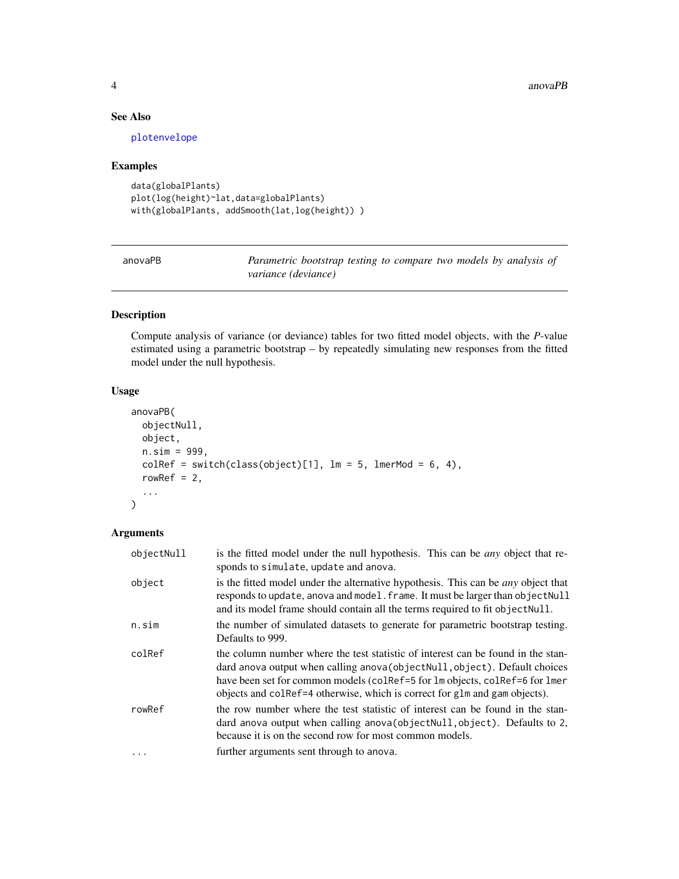#### 4 anovaPB anovaPB anovaPB anovaPB anovaPB anovaPB anovaPB anovaPB anovaPB anovaPB anovaPB anovaPB anovaPB anovaPB anovaPB anovaPB anovaPB anovaPB anovaPB anovaPB anovaPB anovaPB anovaPB anovaPB anovaPB anovaPB anovaPB anov

# See Also

[plotenvelope](#page-17-1)

# Examples

```
data(globalPlants)
plot(log(height)~lat,data=globalPlants)
with(globalPlants, addSmooth(lat,log(height)))
```

| anovaPB | Parametric bootstrap testing to compare two models by analysis of |
|---------|-------------------------------------------------------------------|
|         | variance (deviance)                                               |

# Description

Compute analysis of variance (or deviance) tables for two fitted model objects, with the *P*-value estimated using a parametric bootstrap – by repeatedly simulating new responses from the fitted model under the null hypothesis.

# Usage

```
anovaPB(
 objectNull,
 object,
 n.sim = 999,
 colRef = switch(class(object)[1], Im = 5, ImerMod = 6, 4),rowRef = 2,
  ...
)
```
# Arguments

| objectNull | is the fitted model under the null hypothesis. This can be <i>any</i> object that re-<br>sponds to simulate, update and anova.                                                                                                                                                                                               |
|------------|------------------------------------------------------------------------------------------------------------------------------------------------------------------------------------------------------------------------------------------------------------------------------------------------------------------------------|
| object     | is the fitted model under the alternative hypothesis. This can be <i>any</i> object that<br>responds to update, anova and model. frame. It must be larger than object Null<br>and its model frame should contain all the terms required to fit object Null.                                                                  |
| n.sim      | the number of simulated datasets to generate for parametric bootstrap testing.<br>Defaults to 999.                                                                                                                                                                                                                           |
| colRef     | the column number where the test statistic of interest can be found in the stan-<br>dard anova output when calling anova (object Null, object). Default choices<br>have been set for common models (colRef=5 for lm objects, colRef=6 for lmer<br>objects and collered otherwise, which is correct for glm and gam objects). |
| rowRef     | the row number where the test statistic of interest can be found in the stan-<br>dard anova output when calling anova (object Null, object). Defaults to 2,<br>because it is on the second row for most common models.                                                                                                       |
| $\ddots$   | further arguments sent through to anova.                                                                                                                                                                                                                                                                                     |

<span id="page-3-0"></span>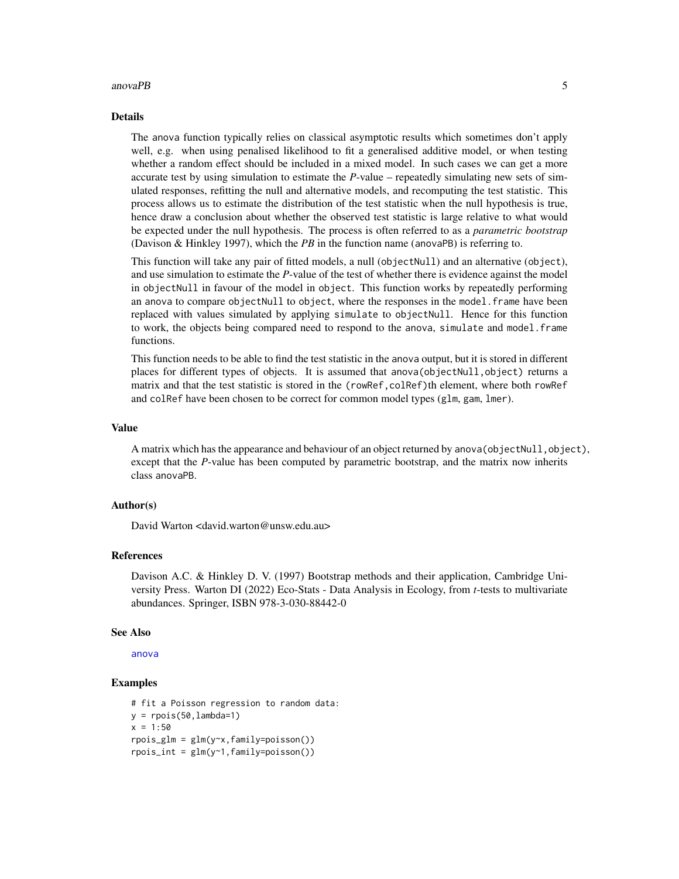#### <span id="page-4-0"></span> $anovaPB$  5

#### Details

The anova function typically relies on classical asymptotic results which sometimes don't apply well, e.g. when using penalised likelihood to fit a generalised additive model, or when testing whether a random effect should be included in a mixed model. In such cases we can get a more accurate test by using simulation to estimate the *P*-value – repeatedly simulating new sets of simulated responses, refitting the null and alternative models, and recomputing the test statistic. This process allows us to estimate the distribution of the test statistic when the null hypothesis is true, hence draw a conclusion about whether the observed test statistic is large relative to what would be expected under the null hypothesis. The process is often referred to as a *parametric bootstrap* (Davison & Hinkley 1997), which the *PB* in the function name (anovaPB) is referring to.

This function will take any pair of fitted models, a null (objectNull) and an alternative (object), and use simulation to estimate the *P*-value of the test of whether there is evidence against the model in objectNull in favour of the model in object. This function works by repeatedly performing an anova to compare objectNull to object, where the responses in the model. frame have been replaced with values simulated by applying simulate to objectNull. Hence for this function to work, the objects being compared need to respond to the anova, simulate and model.frame functions.

This function needs to be able to find the test statistic in the anova output, but it is stored in different places for different types of objects. It is assumed that anova(objectNull,object) returns a matrix and that the test statistic is stored in the (rowRef,colRef)th element, where both rowRef and colRef have been chosen to be correct for common model types (glm, gam, lmer).

# Value

A matrix which has the appearance and behaviour of an object returned by anova (objectNull, object), except that the *P*-value has been computed by parametric bootstrap, and the matrix now inherits class anovaPB.

# Author(s)

David Warton <david.warton@unsw.edu.au>

#### References

Davison A.C. & Hinkley D. V. (1997) Bootstrap methods and their application, Cambridge University Press. Warton DI (2022) Eco-Stats - Data Analysis in Ecology, from *t*-tests to multivariate abundances. Springer, ISBN 978-3-030-88442-0

#### See Also

[anova](#page-0-0)

```
# fit a Poisson regression to random data:
y = \text{rpois}(50, \text{lambda=1})x = 1:50rpois_glm = glm(y~x,family=poisson())
rpois_int = glm(y~1,family=poisson())
```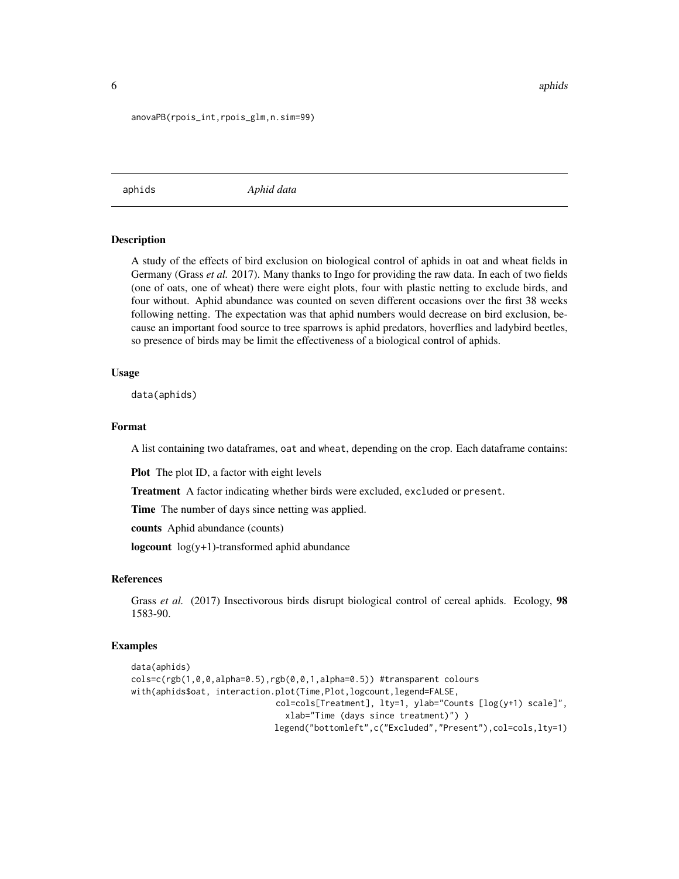<span id="page-5-0"></span>6 aphids and the contract of the contract of the contract of the contract of the contract of the contract of the contract of the contract of the contract of the contract of the contract of the contract of the contract of t

#### anovaPB(rpois\_int,rpois\_glm,n.sim=99)

<span id="page-5-1"></span>aphids *Aphid data*

#### **Description**

A study of the effects of bird exclusion on biological control of aphids in oat and wheat fields in Germany (Grass *et al.* 2017). Many thanks to Ingo for providing the raw data. In each of two fields (one of oats, one of wheat) there were eight plots, four with plastic netting to exclude birds, and four without. Aphid abundance was counted on seven different occasions over the first 38 weeks following netting. The expectation was that aphid numbers would decrease on bird exclusion, because an important food source to tree sparrows is aphid predators, hoverflies and ladybird beetles, so presence of birds may be limit the effectiveness of a biological control of aphids.

#### Usage

data(aphids)

# Format

A list containing two dataframes, oat and wheat, depending on the crop. Each dataframe contains:

Plot The plot ID, a factor with eight levels

Treatment A factor indicating whether birds were excluded, excluded or present.

Time The number of days since netting was applied.

counts Aphid abundance (counts)

logcount  $log(y+1)$ -transformed aphid abundance

#### References

Grass *et al.* (2017) Insectivorous birds disrupt biological control of cereal aphids. Ecology, 98 1583-90.

```
data(aphids)
colsc(rgb(1,0,0,a1pha=0.5),rgb(0,0,1,a1pha=0.5))#transparent colours
with(aphids$oat, interaction.plot(Time,Plot,logcount,legend=FALSE,
                             col=cols[Treatment], lty=1, ylab="Counts [log(y+1) scale]",
                               xlab="Time (days since treatment)") )
                            legend("bottomleft",c("Excluded","Present"),col=cols,lty=1)
```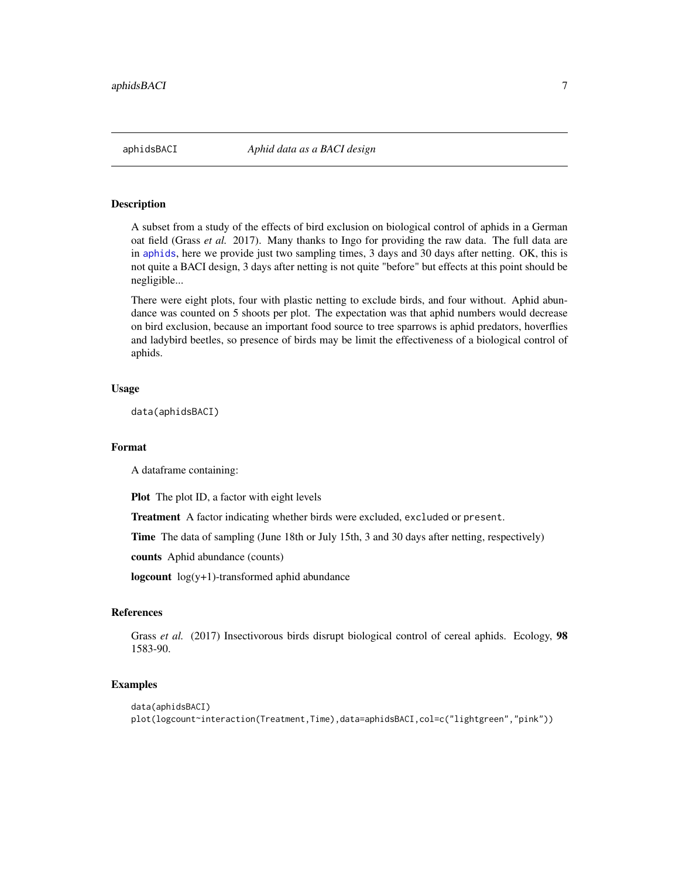<span id="page-6-0"></span>

A subset from a study of the effects of bird exclusion on biological control of aphids in a German oat field (Grass *et al.* 2017). Many thanks to Ingo for providing the raw data. The full data are in [aphids](#page-5-1), here we provide just two sampling times, 3 days and 30 days after netting. OK, this is not quite a BACI design, 3 days after netting is not quite "before" but effects at this point should be negligible...

There were eight plots, four with plastic netting to exclude birds, and four without. Aphid abundance was counted on 5 shoots per plot. The expectation was that aphid numbers would decrease on bird exclusion, because an important food source to tree sparrows is aphid predators, hoverflies and ladybird beetles, so presence of birds may be limit the effectiveness of a biological control of aphids.

#### Usage

data(aphidsBACI)

#### Format

A dataframe containing:

Plot The plot ID, a factor with eight levels

Treatment A factor indicating whether birds were excluded, excluded or present.

Time The data of sampling (June 18th or July 15th, 3 and 30 days after netting, respectively)

counts Aphid abundance (counts)

logcount log(y+1)-transformed aphid abundance

### References

Grass *et al.* (2017) Insectivorous birds disrupt biological control of cereal aphids. Ecology, 98 1583-90.

```
data(aphidsBACI)
plot(logcount~interaction(Treatment,Time),data=aphidsBACI,col=c("lightgreen","pink"))
```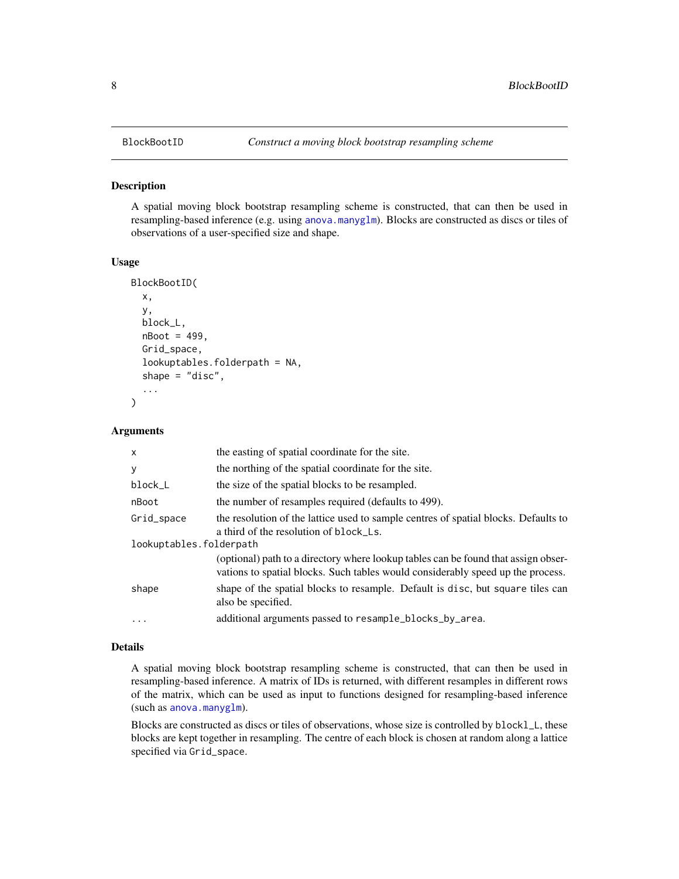<span id="page-7-0"></span>

A spatial moving block bootstrap resampling scheme is constructed, that can then be used in resampling-based inference (e.g. using [anova.manyglm](#page-0-0)). Blocks are constructed as discs or tiles of observations of a user-specified size and shape.

# Usage

```
BlockBootID(
  x,
  y,
  block_L,
  nBoot = 499,
  Grid_space,
  lookuptables.folderpath = NA,
  shape = "disc",...
)
```
#### **Arguments**

| $\mathsf{x}$            | the easting of spatial coordinate for the site.                                                                                                                       |
|-------------------------|-----------------------------------------------------------------------------------------------------------------------------------------------------------------------|
| У                       | the northing of the spatial coordinate for the site.                                                                                                                  |
| block_L                 | the size of the spatial blocks to be resampled.                                                                                                                       |
| nBoot                   | the number of resamples required (defaults to 499).                                                                                                                   |
| Grid_space              | the resolution of the lattice used to sample centres of spatial blocks. Defaults to<br>a third of the resolution of block_Ls.                                         |
| lookuptables.folderpath |                                                                                                                                                                       |
|                         | (optional) path to a directory where lookup tables can be found that assign obser-<br>vations to spatial blocks. Such tables would considerably speed up the process. |
| shape                   | shape of the spatial blocks to resample. Default is disc, but square tiles can<br>also be specified.                                                                  |
| $\ddotsc$               | additional arguments passed to resample_blocks_by_area.                                                                                                               |

#### Details

A spatial moving block bootstrap resampling scheme is constructed, that can then be used in resampling-based inference. A matrix of IDs is returned, with different resamples in different rows of the matrix, which can be used as input to functions designed for resampling-based inference (such as [anova.manyglm](#page-0-0)).

Blocks are constructed as discs or tiles of observations, whose size is controlled by blockl\_L, these blocks are kept together in resampling. The centre of each block is chosen at random along a lattice specified via Grid\_space.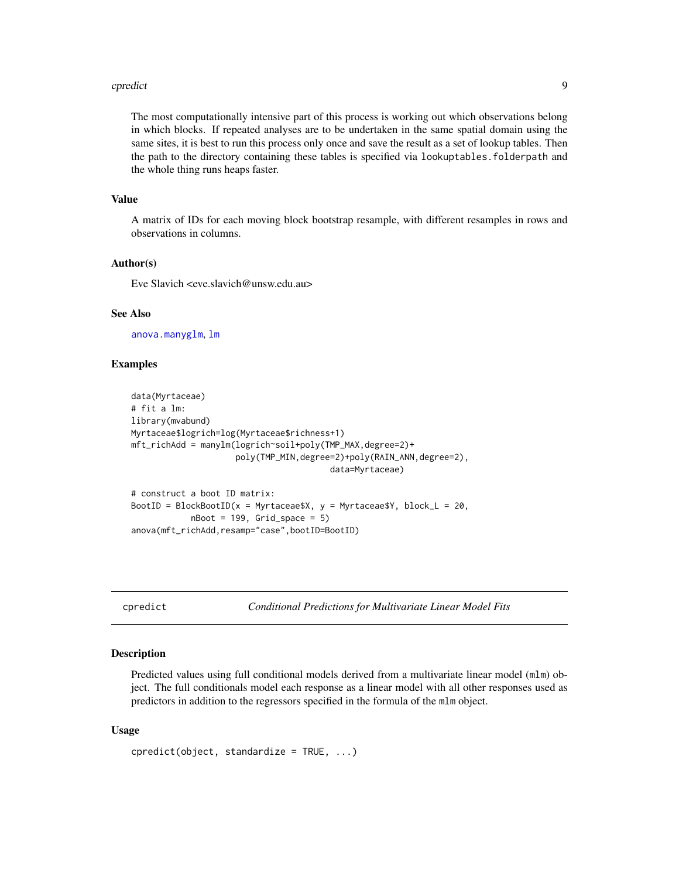#### <span id="page-8-0"></span>cpredict the contract of the contract of the contract of the contract of the contract of the contract of the contract of the contract of the contract of the contract of the contract of the contract of the contract of the c

The most computationally intensive part of this process is working out which observations belong in which blocks. If repeated analyses are to be undertaken in the same spatial domain using the same sites, it is best to run this process only once and save the result as a set of lookup tables. Then the path to the directory containing these tables is specified via lookuptables.folderpath and the whole thing runs heaps faster.

#### Value

A matrix of IDs for each moving block bootstrap resample, with different resamples in rows and observations in columns.

# Author(s)

Eve Slavich <eve.slavich@unsw.edu.au>

#### See Also

[anova.manyglm](#page-0-0), [lm](#page-0-0)

# Examples

```
data(Myrtaceae)
# fit a lm:
library(mvabund)
Myrtaceae$logrich=log(Myrtaceae$richness+1)
mft_richAdd = manylm(logrich~soil+poly(TMP_MAX,degree=2)+
                     poly(TMP_MIN,degree=2)+poly(RAIN_ANN,degree=2),
                                        data=Myrtaceae)
```

```
# construct a boot ID matrix:
BootID = BlockBootID(x = Myrtaceae$X, y = Myrtaceae$Y, block_L = 20,
            nBoot = 199, Grid_space = 5)
anova(mft_richAdd,resamp="case",bootID=BootID)
```
<span id="page-8-1"></span>cpredict *Conditional Predictions for Multivariate Linear Model Fits*

### Description

Predicted values using full conditional models derived from a multivariate linear model (mlm) object. The full conditionals model each response as a linear model with all other responses used as predictors in addition to the regressors specified in the formula of the mlm object.

#### Usage

```
cpredict(object, standardize = TRUE, ...)
```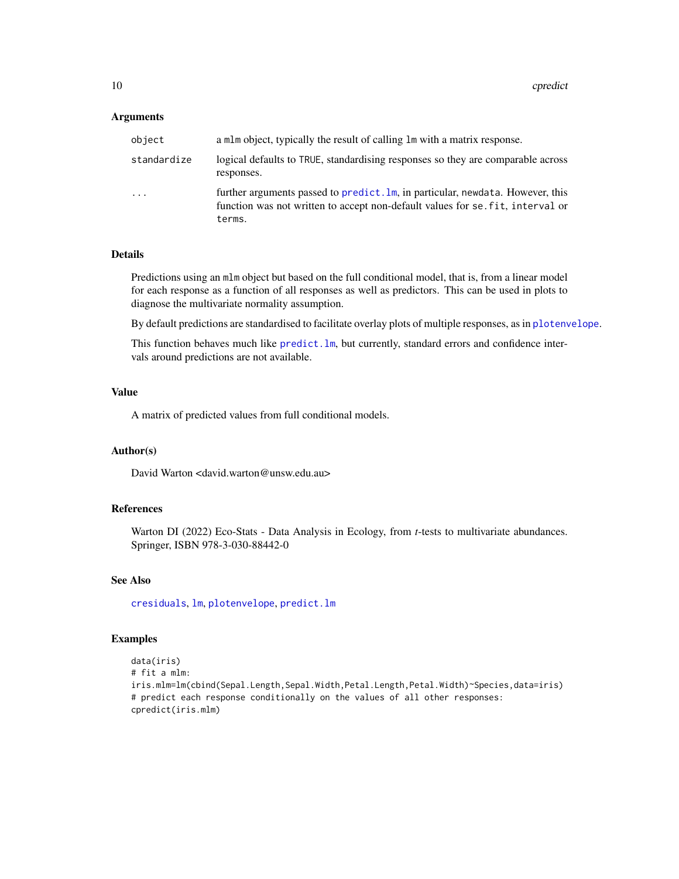#### <span id="page-9-0"></span>**Arguments**

| object      | a mlm object, typically the result of calling lm with a matrix response.                                                                                                   |
|-------------|----------------------------------------------------------------------------------------------------------------------------------------------------------------------------|
| standardize | logical defaults to TRUE, standardising responses so they are comparable across<br>responses.                                                                              |
| .           | further arguments passed to predict. Im, in particular, newdata. However, this<br>function was not written to accept non-default values for se. fit, interval or<br>terms. |

#### Details

Predictions using an mlm object but based on the full conditional model, that is, from a linear model for each response as a function of all responses as well as predictors. This can be used in plots to diagnose the multivariate normality assumption.

By default predictions are standardised to facilitate overlay plots of multiple responses, as in [plotenvelope](#page-17-1).

This function behaves much like predict. Im, but currently, standard errors and confidence intervals around predictions are not available.

#### Value

A matrix of predicted values from full conditional models.

#### Author(s)

David Warton <david.warton@unsw.edu.au>

#### References

Warton DI (2022) Eco-Stats - Data Analysis in Ecology, from *t*-tests to multivariate abundances. Springer, ISBN 978-3-030-88442-0

# See Also

[cresiduals](#page-10-1), [lm](#page-0-0), [plotenvelope](#page-17-1), [predict.lm](#page-0-0)

```
data(iris)
# fit a mlm:
iris.mlm=lm(cbind(Sepal.Length,Sepal.Width,Petal.Length,Petal.Width)~Species,data=iris)
# predict each response conditionally on the values of all other responses:
cpredict(iris.mlm)
```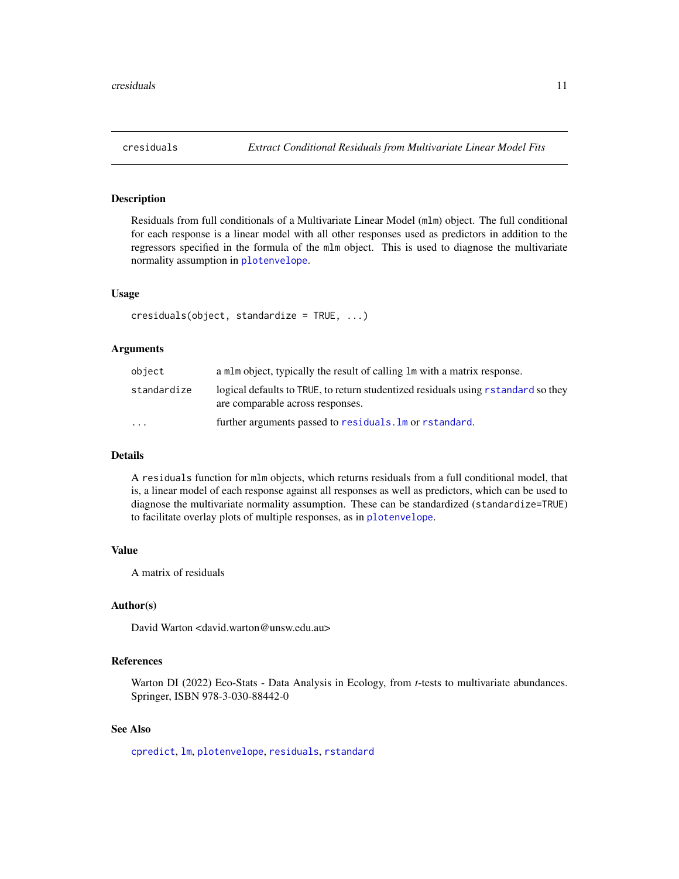<span id="page-10-1"></span><span id="page-10-0"></span>Residuals from full conditionals of a Multivariate Linear Model (mlm) object. The full conditional for each response is a linear model with all other responses used as predictors in addition to the regressors specified in the formula of the mlm object. This is used to diagnose the multivariate normality assumption in [plotenvelope](#page-17-1).

# Usage

cresiduals(object, standardize = TRUE, ...)

# **Arguments**

| object                  | a mlm object, typically the result of calling lm with a matrix response.                                              |
|-------------------------|-----------------------------------------------------------------------------------------------------------------------|
| standardize             | logical defaults to TRUE, to return studentized residuals using rstandard so they<br>are comparable across responses. |
| $\cdot$ $\cdot$ $\cdot$ | further arguments passed to residuals. Im or rstandard.                                                               |

# Details

A residuals function for mlm objects, which returns residuals from a full conditional model, that is, a linear model of each response against all responses as well as predictors, which can be used to diagnose the multivariate normality assumption. These can be standardized (standardize=TRUE) to facilitate overlay plots of multiple responses, as in [plotenvelope](#page-17-1).

#### Value

A matrix of residuals

#### Author(s)

David Warton <david.warton@unsw.edu.au>

# References

Warton DI (2022) Eco-Stats - Data Analysis in Ecology, from *t*-tests to multivariate abundances. Springer, ISBN 978-3-030-88442-0

# See Also

[cpredict](#page-8-1), [lm](#page-0-0), [plotenvelope](#page-17-1), [residuals](#page-0-0), [rstandard](#page-0-0)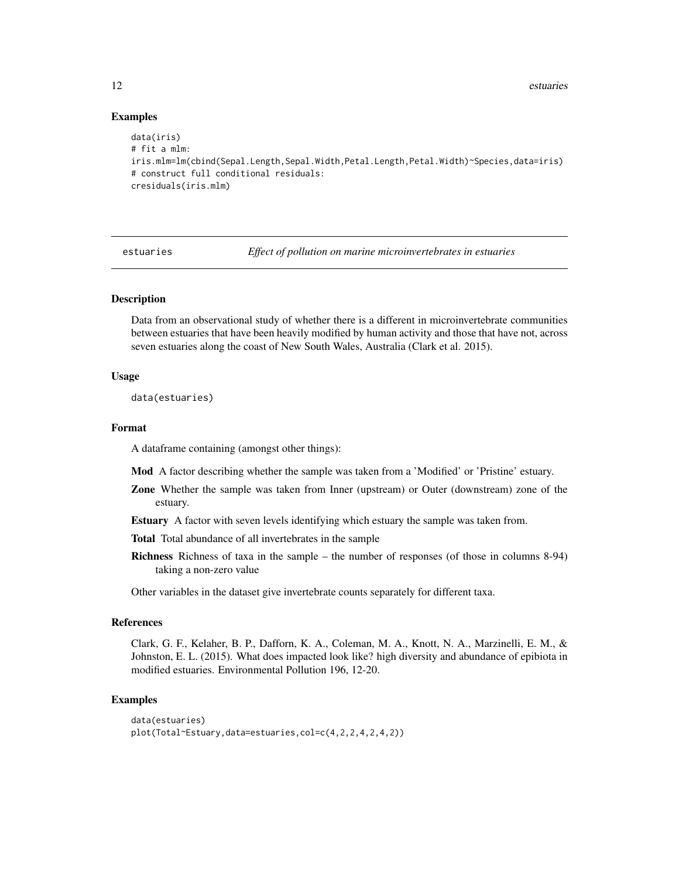<span id="page-11-0"></span>12 estuaries estuaries estuaries estuaries estuaries estuaries estuaries estuaries estuaries estuaries estuaries estuaries estuaries estuaries estuaries estuaries estuaries estuaries estuaries estuaries estuaries estuaries

#### Examples

```
data(iris)
# fit a mlm:
iris.mlm=lm(cbind(Sepal.Length,Sepal.Width,Petal.Length,Petal.Width)~Species,data=iris)
# construct full conditional residuals:
cresiduals(iris.mlm)
```
estuaries *Effect of pollution on marine microinvertebrates in estuaries*

# Description

Data from an observational study of whether there is a different in microinvertebrate communities between estuaries that have been heavily modified by human activity and those that have not, across seven estuaries along the coast of New South Wales, Australia (Clark et al. 2015).

#### Usage

data(estuaries)

#### Format

A dataframe containing (amongst other things):

Mod A factor describing whether the sample was taken from a 'Modified' or 'Pristine' estuary.

- Zone Whether the sample was taken from Inner (upstream) or Outer (downstream) zone of the estuary.
- Estuary A factor with seven levels identifying which estuary the sample was taken from.

Total Total abundance of all invertebrates in the sample

Richness Richness of taxa in the sample – the number of responses (of those in columns 8-94) taking a non-zero value

Other variables in the dataset give invertebrate counts separately for different taxa.

# References

Clark, G. F., Kelaher, B. P., Dafforn, K. A., Coleman, M. A., Knott, N. A., Marzinelli, E. M., & Johnston, E. L. (2015). What does impacted look like? high diversity and abundance of epibiota in modified estuaries. Environmental Pollution 196, 12-20.

```
data(estuaries)
plot(Total~Estuary,data=estuaries,col=c(4,2,2,4,2,4,2))
```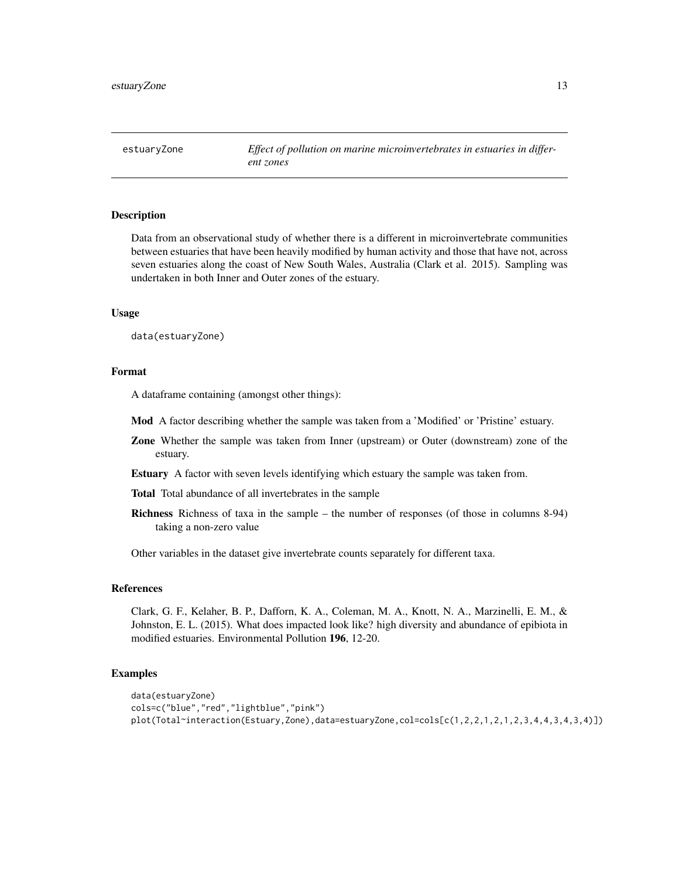<span id="page-12-0"></span>estuaryZone *Effect of pollution on marine microinvertebrates in estuaries in different zones*

#### **Description**

Data from an observational study of whether there is a different in microinvertebrate communities between estuaries that have been heavily modified by human activity and those that have not, across seven estuaries along the coast of New South Wales, Australia (Clark et al. 2015). Sampling was undertaken in both Inner and Outer zones of the estuary.

#### Usage

data(estuaryZone)

#### Format

A dataframe containing (amongst other things):

- Mod A factor describing whether the sample was taken from a 'Modified' or 'Pristine' estuary.
- Zone Whether the sample was taken from Inner (upstream) or Outer (downstream) zone of the estuary.
- Estuary A factor with seven levels identifying which estuary the sample was taken from.

Total Total abundance of all invertebrates in the sample

Richness Richness of taxa in the sample – the number of responses (of those in columns 8-94) taking a non-zero value

Other variables in the dataset give invertebrate counts separately for different taxa.

#### References

Clark, G. F., Kelaher, B. P., Dafforn, K. A., Coleman, M. A., Knott, N. A., Marzinelli, E. M., & Johnston, E. L. (2015). What does impacted look like? high diversity and abundance of epibiota in modified estuaries. Environmental Pollution 196, 12-20.

```
data(estuaryZone)
cols=c("blue","red","lightblue","pink")
plot(Total~interaction(Estuary,Zone),data=estuaryZone,col=cols[c(1,2,2,1,2,1,2,3,4,4,3,4,3,4)])
```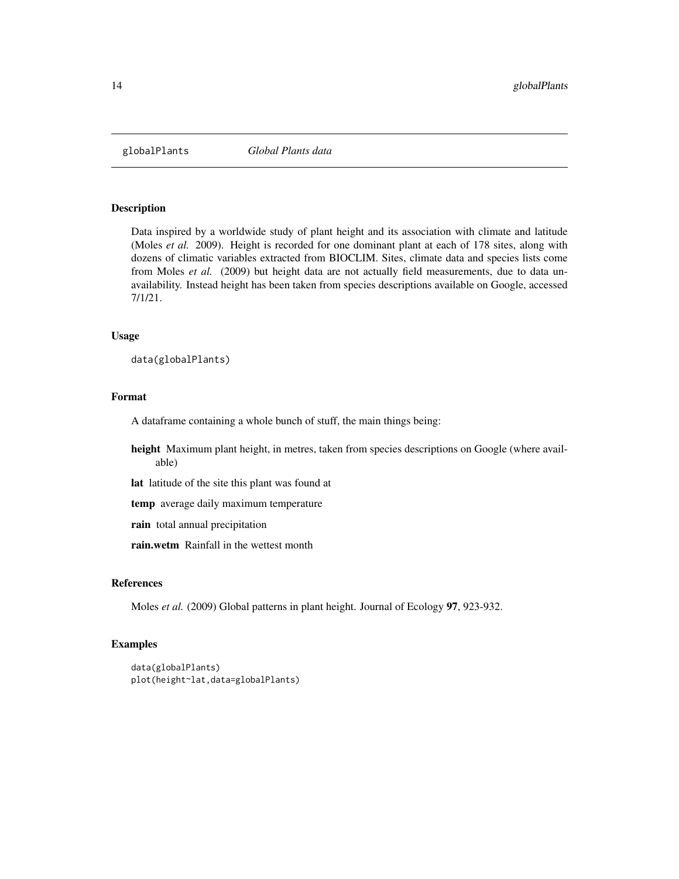<span id="page-13-0"></span>

Data inspired by a worldwide study of plant height and its association with climate and latitude (Moles *et al.* 2009). Height is recorded for one dominant plant at each of 178 sites, along with dozens of climatic variables extracted from BIOCLIM. Sites, climate data and species lists come from Moles *et al.* (2009) but height data are not actually field measurements, due to data unavailability. Instead height has been taken from species descriptions available on Google, accessed 7/1/21.

#### Usage

```
data(globalPlants)
```
# Format

A dataframe containing a whole bunch of stuff, the main things being:

height Maximum plant height, in metres, taken from species descriptions on Google (where available)

lat latitude of the site this plant was found at

temp average daily maximum temperature

rain total annual precipitation

rain.wetm Rainfall in the wettest month

#### References

Moles *et al.* (2009) Global patterns in plant height. Journal of Ecology 97, 923-932.

```
data(globalPlants)
plot(height~lat,data=globalPlants)
```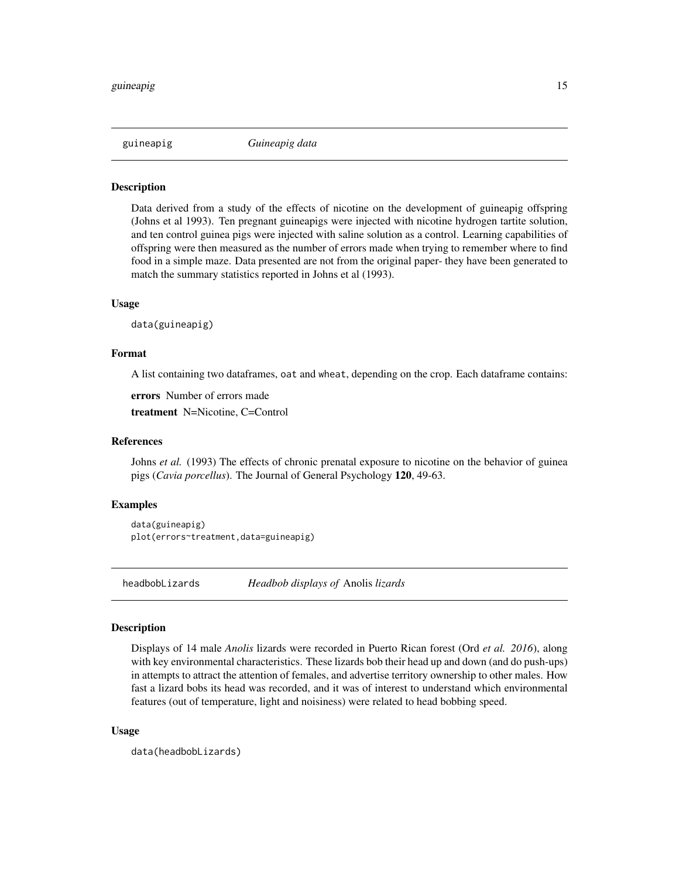<span id="page-14-0"></span>

Data derived from a study of the effects of nicotine on the development of guineapig offspring (Johns et al 1993). Ten pregnant guineapigs were injected with nicotine hydrogen tartite solution, and ten control guinea pigs were injected with saline solution as a control. Learning capabilities of offspring were then measured as the number of errors made when trying to remember where to find food in a simple maze. Data presented are not from the original paper- they have been generated to match the summary statistics reported in Johns et al (1993).

#### Usage

data(guineapig)

#### Format

A list containing two dataframes, oat and wheat, depending on the crop. Each dataframe contains:

errors Number of errors made

treatment N=Nicotine, C=Control

#### References

Johns *et al.* (1993) The effects of chronic prenatal exposure to nicotine on the behavior of guinea pigs (*Cavia porcellus*). The Journal of General Psychology 120, 49-63.

# Examples

```
data(guineapig)
plot(errors~treatment,data=guineapig)
```
headbobLizards *Headbob displays of* Anolis *lizards*

# **Description**

Displays of 14 male *Anolis* lizards were recorded in Puerto Rican forest (Ord *et al. 2016*), along with key environmental characteristics. These lizards bob their head up and down (and do push-ups) in attempts to attract the attention of females, and advertise territory ownership to other males. How fast a lizard bobs its head was recorded, and it was of interest to understand which environmental features (out of temperature, light and noisiness) were related to head bobbing speed.

#### Usage

data(headbobLizards)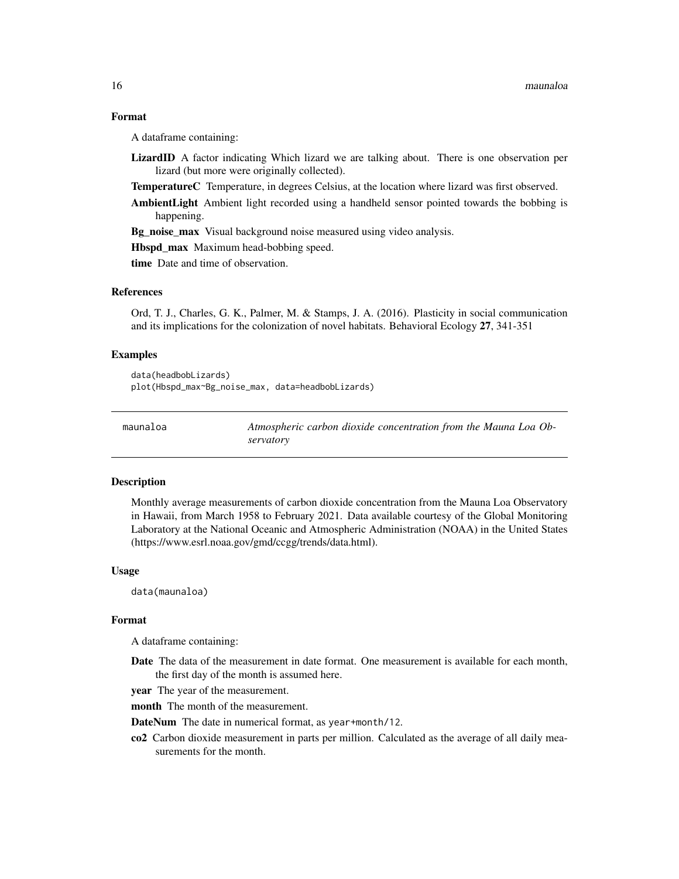# <span id="page-15-0"></span>Format

A dataframe containing:

LizardID A factor indicating Which lizard we are talking about. There is one observation per lizard (but more were originally collected).

TemperatureC Temperature, in degrees Celsius, at the location where lizard was first observed.

AmbientLight Ambient light recorded using a handheld sensor pointed towards the bobbing is happening.

Bg\_noise\_max Visual background noise measured using video analysis.

Hbspd\_max Maximum head-bobbing speed.

time Date and time of observation.

# References

Ord, T. J., Charles, G. K., Palmer, M. & Stamps, J. A. (2016). Plasticity in social communication and its implications for the colonization of novel habitats. Behavioral Ecology 27, 341-351

#### Examples

```
data(headbobLizards)
plot(Hbspd_max~Bg_noise_max, data=headbobLizards)
```
Atmospheric carbon dioxide concentration from the Mauna Loa Ob*servatory*

# **Description**

Monthly average measurements of carbon dioxide concentration from the Mauna Loa Observatory in Hawaii, from March 1958 to February 2021. Data available courtesy of the Global Monitoring Laboratory at the National Oceanic and Atmospheric Administration (NOAA) in the United States (https://www.esrl.noaa.gov/gmd/ccgg/trends/data.html).

#### Usage

data(maunaloa)

#### Format

A dataframe containing:

- Date The data of the measurement in date format. One measurement is available for each month, the first day of the month is assumed here.
- year The year of the measurement.
- month The month of the measurement.
- DateNum The date in numerical format, as year+month/12.
- co2 Carbon dioxide measurement in parts per million. Calculated as the average of all daily measurements for the month.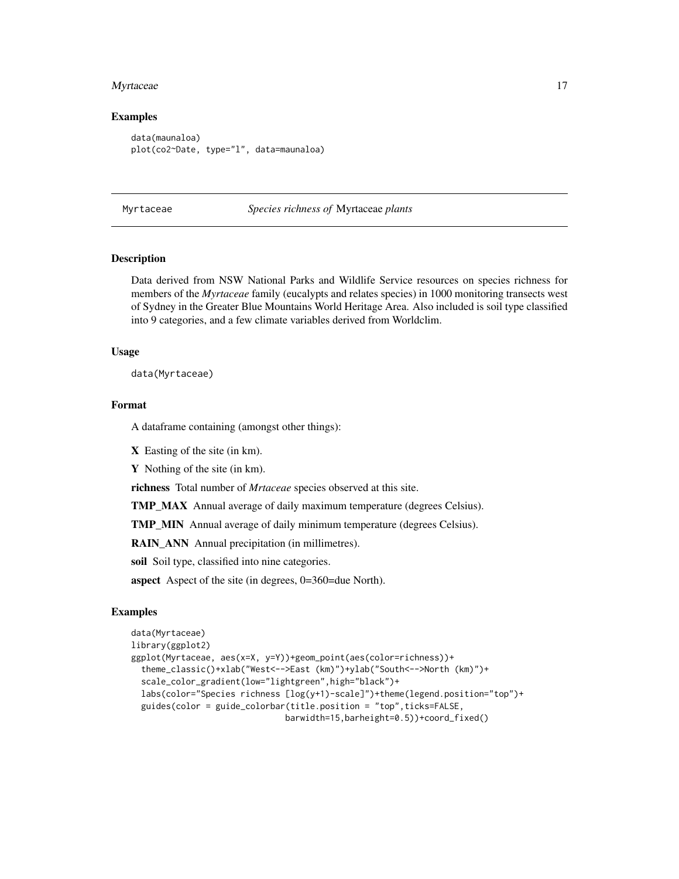#### <span id="page-16-0"></span>Myrtaceae 17

#### Examples

```
data(maunaloa)
plot(co2~Date, type="l", data=maunaloa)
```
Myrtaceae *Species richness of* Myrtaceae *plants*

# **Description**

Data derived from NSW National Parks and Wildlife Service resources on species richness for members of the *Myrtaceae* family (eucalypts and relates species) in 1000 monitoring transects west of Sydney in the Greater Blue Mountains World Heritage Area. Also included is soil type classified into 9 categories, and a few climate variables derived from Worldclim.

#### Usage

data(Myrtaceae)

# Format

A dataframe containing (amongst other things):

X Easting of the site (in km).

Y Nothing of the site (in km).

richness Total number of *Mrtaceae* species observed at this site.

TMP\_MAX Annual average of daily maximum temperature (degrees Celsius).

TMP\_MIN Annual average of daily minimum temperature (degrees Celsius).

RAIN\_ANN Annual precipitation (in millimetres).

soil Soil type, classified into nine categories.

aspect Aspect of the site (in degrees, 0=360=due North).

```
data(Myrtaceae)
library(ggplot2)
ggplot(Myrtaceae, aes(x=X, y=Y))+geom_point(aes(color=richness))+
 theme_classic()+xlab("West<-->East (km)")+ylab("South<-->North (km)")+
 scale_color_gradient(low="lightgreen",high="black")+
 labs(color="Species richness [log(y+1)-scale]")+theme(legend.position="top")+
 guides(color = guide_colorbar(title.position = "top",ticks=FALSE,
                               barwidth=15,barheight=0.5))+coord_fixed()
```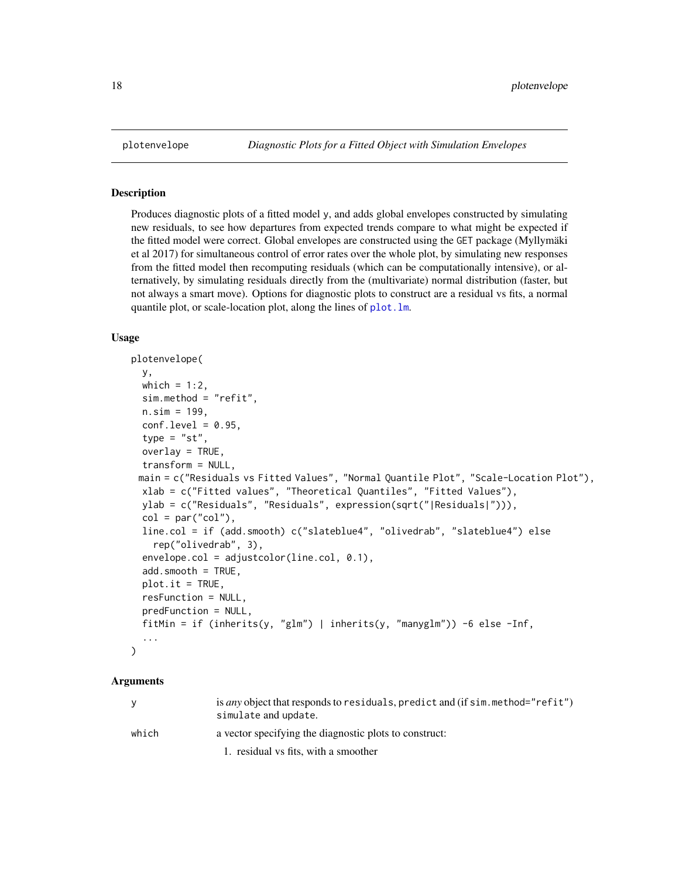Produces diagnostic plots of a fitted model y, and adds global envelopes constructed by simulating new residuals, to see how departures from expected trends compare to what might be expected if the fitted model were correct. Global envelopes are constructed using the GET package (Myllymäki et al 2017) for simultaneous control of error rates over the whole plot, by simulating new responses from the fitted model then recomputing residuals (which can be computationally intensive), or alternatively, by simulating residuals directly from the (multivariate) normal distribution (faster, but not always a smart move). Options for diagnostic plots to construct are a residual vs fits, a normal quantile plot, or scale-location plot, along the lines of [plot.lm](#page-0-0).

#### Usage

```
plotenvelope(
 y,
 which = 1:2,
  sim.method = "refit",
  n.sim = 199,
  conf<math>.level = 0.95,
  type = "st",
  overlay = TRUE,
  transform = NULL,
 main = c("Residuals vs Fitted Values", "Normal Quantile Plot", "Scale-Location Plot"),
  xlab = c("Fitted values", "Theoretical Quantiles", "Fitted Values"),
 ylab = c("Residuals", "Residuals", expression(sqrt("|Residuals|"))),
  col = par("col"),
  line.col = if (add.smooth) c("slateblue4", "olivedrab", "slateblue4") else
    rep("olivedrab", 3),
  envelope.col = adjustcolor(line.col, 0.1),
  add্mooth = TRUE,plot.it = TRUE,resFunction = NULL,
  predFunction = NULL,
  fitMin = if (inherits(y, "glm") | inherits(y, "manyglm")) -6 else -Inf,
  ...
)
```
#### Arguments

| <b>y</b> | is any object that responds to residuals, predict and (if sim. method="refit")<br>simulate and update. |
|----------|--------------------------------------------------------------------------------------------------------|
| which    | a vector specifying the diagnostic plots to construct:                                                 |
|          | 1. residual vs fits, with a smoother                                                                   |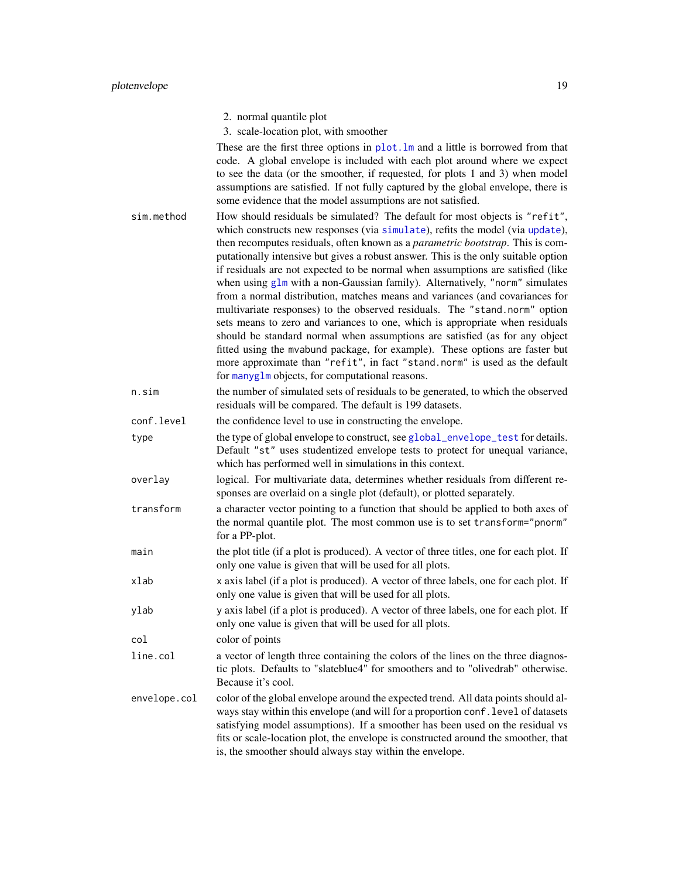3. scale-location plot, with smoother

<span id="page-18-0"></span>These are the first three options in [plot.lm](#page-0-0) and a little is borrowed from that code. A global envelope is included with each plot around where we expect to see the data (or the smoother, if requested, for plots 1 and 3) when model assumptions are satisfied. If not fully captured by the global envelope, there is some evidence that the model assumptions are not satisfied.

- sim.method How should residuals be simulated? The default for most objects is "refit", which constructs new responses (via [simulate](#page-0-0)), refits the model (via [update](#page-0-0)), then recomputes residuals, often known as a *parametric bootstrap*. This is computationally intensive but gives a robust answer. This is the only suitable option if residuals are not expected to be normal when assumptions are satisfied (like when using [glm](#page-0-0) with a non-Gaussian family). Alternatively, "norm" simulates from a normal distribution, matches means and variances (and covariances for multivariate responses) to the observed residuals. The "stand.norm" option sets means to zero and variances to one, which is appropriate when residuals should be standard normal when assumptions are satisfied (as for any object fitted using the mvabund package, for example). These options are faster but more approximate than "refit", in fact "stand.norm" is used as the default for [manyglm](#page-0-0) objects, for computational reasons.
- n.sim the number of simulated sets of residuals to be generated, to which the observed residuals will be compared. The default is 199 datasets.

- type the type of global envelope to construct, see [global\\_envelope\\_test](#page-0-0) for details. Default "st" uses studentized envelope tests to protect for unequal variance, which has performed well in simulations in this context.
- overlay logical. For multivariate data, determines whether residuals from different responses are overlaid on a single plot (default), or plotted separately.
- transform a character vector pointing to a function that should be applied to both axes of the normal quantile plot. The most common use is to set transform="pnorm" for a PP-plot.
- main the plot title (if a plot is produced). A vector of three titles, one for each plot. If only one value is given that will be used for all plots.
- xlab x axis label (if a plot is produced). A vector of three labels, one for each plot. If only one value is given that will be used for all plots.
- ylab y axis label (if a plot is produced). A vector of three labels, one for each plot. If only one value is given that will be used for all plots.

col color of points

- line.col a vector of length three containing the colors of the lines on the three diagnostic plots. Defaults to "slateblue4" for smoothers and to "olivedrab" otherwise. Because it's cool.
- envelope.col color of the global envelope around the expected trend. All data points should always stay within this envelope (and will for a proportion conf.level of datasets satisfying model assumptions). If a smoother has been used on the residual vs fits or scale-location plot, the envelope is constructed around the smoother, that is, the smoother should always stay within the envelope.

conf.level the confidence level to use in constructing the envelope.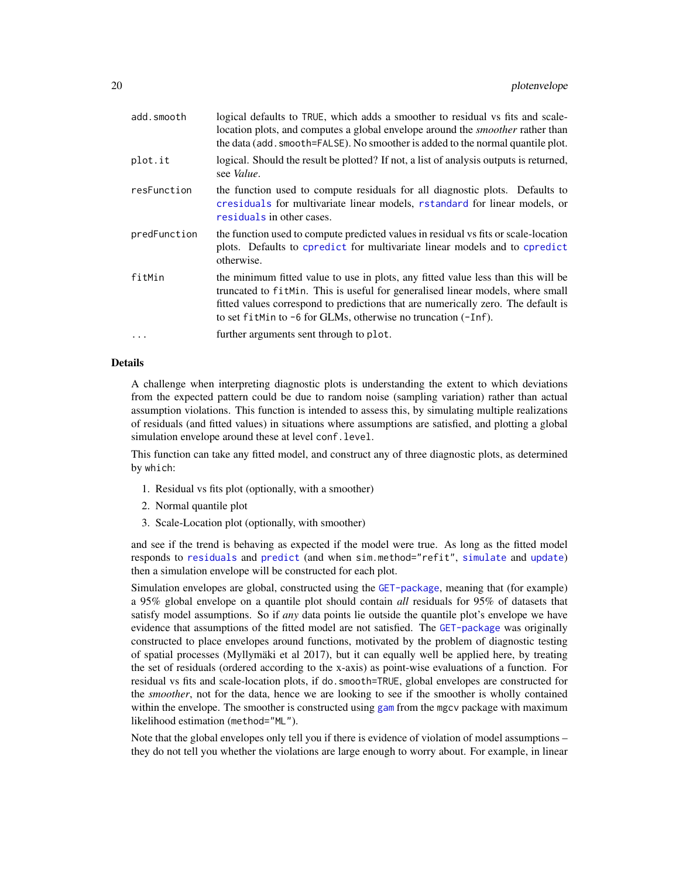<span id="page-19-0"></span>

| add.smooth   | logical defaults to TRUE, which adds a smoother to residual vs fits and scale-<br>location plots, and computes a global envelope around the <i>smoother</i> rather than<br>the data (add. smooth=FALSE). No smoother is added to the normal quantile plot.                                                                       |
|--------------|----------------------------------------------------------------------------------------------------------------------------------------------------------------------------------------------------------------------------------------------------------------------------------------------------------------------------------|
| plot.it      | logical. Should the result be plotted? If not, a list of analysis outputs is returned,<br>see <i>Value</i> .                                                                                                                                                                                                                     |
| resFunction  | the function used to compute residuals for all diagnostic plots. Defaults to<br>cresiduals for multivariate linear models, rstandard for linear models, or<br>residuals in other cases.                                                                                                                                          |
| predFunction | the function used to compute predicted values in residual vs fits or scale-location<br>plots. Defaults to cpredict for multivariate linear models and to cpredict<br>otherwise.                                                                                                                                                  |
| fitMin       | the minimum fitted value to use in plots, any fitted value less than this will be<br>truncated to fit Min. This is useful for generalised linear models, where small<br>fitted values correspond to predictions that are numerically zero. The default is<br>to set fit Min to $-6$ for GLMs, otherwise no truncation $(-Inf)$ . |
| $\ddots$     | further arguments sent through to plot.                                                                                                                                                                                                                                                                                          |
|              |                                                                                                                                                                                                                                                                                                                                  |

#### Details

A challenge when interpreting diagnostic plots is understanding the extent to which deviations from the expected pattern could be due to random noise (sampling variation) rather than actual assumption violations. This function is intended to assess this, by simulating multiple realizations of residuals (and fitted values) in situations where assumptions are satisfied, and plotting a global simulation envelope around these at level conf.level.

This function can take any fitted model, and construct any of three diagnostic plots, as determined by which:

- 1. Residual vs fits plot (optionally, with a smoother)
- 2. Normal quantile plot
- 3. Scale-Location plot (optionally, with smoother)

and see if the trend is behaving as expected if the model were true. As long as the fitted model responds to [residuals](#page-0-0) and [predict](#page-0-0) (and when sim.method="refit", [simulate](#page-0-0) and [update](#page-0-0)) then a simulation envelope will be constructed for each plot.

Simulation envelopes are global, constructed using the [GET-package](#page-0-0), meaning that (for example) a 95% global envelope on a quantile plot should contain *all* residuals for 95% of datasets that satisfy model assumptions. So if *any* data points lie outside the quantile plot's envelope we have evidence that assumptions of the fitted model are not satisfied. The [GET-package](#page-0-0) was originally constructed to place envelopes around functions, motivated by the problem of diagnostic testing of spatial processes (Myllymäki et al 2017), but it can equally well be applied here, by treating the set of residuals (ordered according to the x-axis) as point-wise evaluations of a function. For residual vs fits and scale-location plots, if do.smooth=TRUE, global envelopes are constructed for the *smoother*, not for the data, hence we are looking to see if the smoother is wholly contained within the envelope. The smoother is constructed using [gam](#page-0-0) from the mgcv package with maximum likelihood estimation (method="ML").

Note that the global envelopes only tell you if there is evidence of violation of model assumptions – they do not tell you whether the violations are large enough to worry about. For example, in linear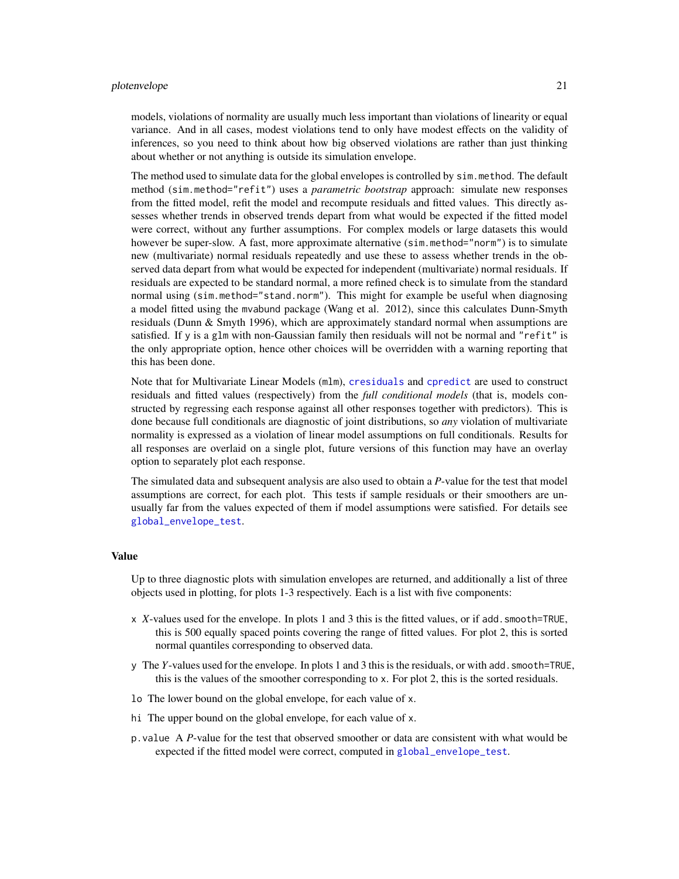#### <span id="page-20-0"></span>plotenvelope 21

models, violations of normality are usually much less important than violations of linearity or equal variance. And in all cases, modest violations tend to only have modest effects on the validity of inferences, so you need to think about how big observed violations are rather than just thinking about whether or not anything is outside its simulation envelope.

The method used to simulate data for the global envelopes is controlled by sim.method. The default method (sim.method="refit") uses a *parametric bootstrap* approach: simulate new responses from the fitted model, refit the model and recompute residuals and fitted values. This directly assesses whether trends in observed trends depart from what would be expected if the fitted model were correct, without any further assumptions. For complex models or large datasets this would however be super-slow. A fast, more approximate alternative (sim.method="norm") is to simulate new (multivariate) normal residuals repeatedly and use these to assess whether trends in the observed data depart from what would be expected for independent (multivariate) normal residuals. If residuals are expected to be standard normal, a more refined check is to simulate from the standard normal using (sim.method="stand.norm"). This might for example be useful when diagnosing a model fitted using the mvabund package (Wang et al. 2012), since this calculates Dunn-Smyth residuals (Dunn & Smyth 1996), which are approximately standard normal when assumptions are satisfied. If y is a glm with non-Gaussian family then residuals will not be normal and "refit" is the only appropriate option, hence other choices will be overridden with a warning reporting that this has been done.

Note that for Multivariate Linear Models (mlm), [cresiduals](#page-10-1) and [cpredict](#page-8-1) are used to construct residuals and fitted values (respectively) from the *full conditional models* (that is, models constructed by regressing each response against all other responses together with predictors). This is done because full conditionals are diagnostic of joint distributions, so *any* violation of multivariate normality is expressed as a violation of linear model assumptions on full conditionals. Results for all responses are overlaid on a single plot, future versions of this function may have an overlay option to separately plot each response.

The simulated data and subsequent analysis are also used to obtain a *P*-value for the test that model assumptions are correct, for each plot. This tests if sample residuals or their smoothers are unusually far from the values expected of them if model assumptions were satisfied. For details see [global\\_envelope\\_test](#page-0-0).

#### Value

Up to three diagnostic plots with simulation envelopes are returned, and additionally a list of three objects used in plotting, for plots 1-3 respectively. Each is a list with five components:

- x *X*-values used for the envelope. In plots 1 and 3 this is the fitted values, or if add.smooth=TRUE, this is 500 equally spaced points covering the range of fitted values. For plot 2, this is sorted normal quantiles corresponding to observed data.
- y The *Y*-values used for the envelope. In plots 1 and 3 this is the residuals, or with add.smooth=TRUE, this is the values of the smoother corresponding to x. For plot 2, this is the sorted residuals.
- lo The lower bound on the global envelope, for each value of x.
- hi The upper bound on the global envelope, for each value of x.
- p.value A *P*-value for the test that observed smoother or data are consistent with what would be expected if the fitted model were correct, computed in [global\\_envelope\\_test](#page-0-0).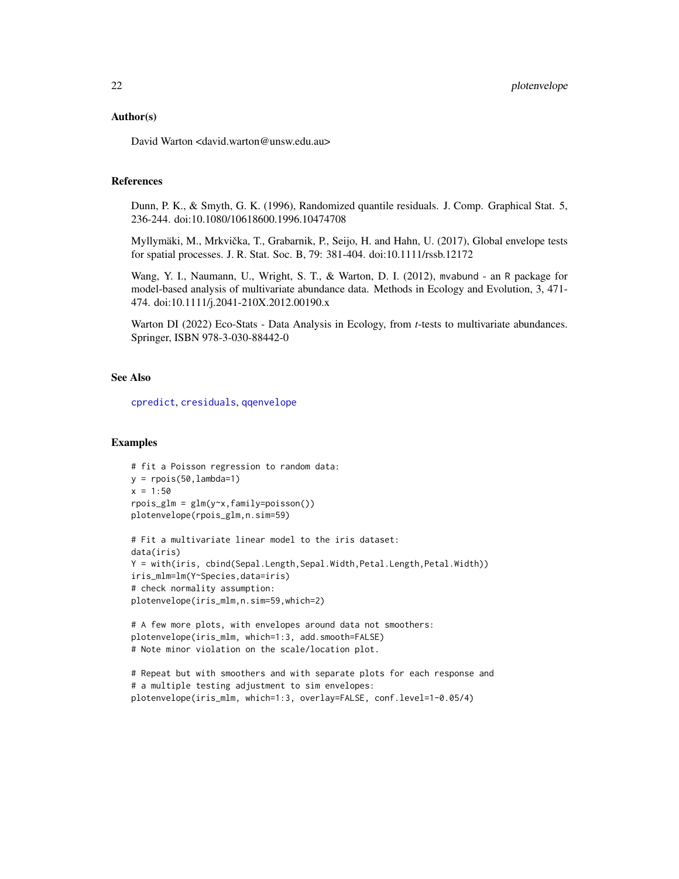#### <span id="page-21-0"></span>Author(s)

David Warton <david.warton@unsw.edu.au>

#### References

Dunn, P. K., & Smyth, G. K. (1996), Randomized quantile residuals. J. Comp. Graphical Stat. 5, 236-244. doi:10.1080/10618600.1996.10474708

Myllymäki, M., Mrkvicka, T., Grabarnik, P., Seijo, H. and Hahn, U. (2017), Global envelope tests ˇ for spatial processes. J. R. Stat. Soc. B, 79: 381-404. doi:10.1111/rssb.12172

Wang, Y. I., Naumann, U., Wright, S. T., & Warton, D. I. (2012), mvabund - an R package for model-based analysis of multivariate abundance data. Methods in Ecology and Evolution, 3, 471- 474. doi:10.1111/j.2041-210X.2012.00190.x

Warton DI (2022) Eco-Stats - Data Analysis in Ecology, from *t*-tests to multivariate abundances. Springer, ISBN 978-3-030-88442-0

#### See Also

[cpredict](#page-8-1), [cresiduals](#page-10-1), [qqenvelope](#page-22-1)

```
# fit a Poisson regression to random data:
y = \text{rpois}(50, \text{lambda=1})x = 1:50rpois_glm = glm(y~x,family=poisson())
plotenvelope(rpois_glm,n.sim=59)
# Fit a multivariate linear model to the iris dataset:
data(iris)
Y = with(iris, cbind(Sepal.Length,Sepal.Width,Petal.Length,Petal.Width))
iris_mlm=lm(Y~Species,data=iris)
# check normality assumption:
plotenvelope(iris_mlm,n.sim=59,which=2)
# A few more plots, with envelopes around data not smoothers:
```

```
plotenvelope(iris_mlm, which=1:3, add.smooth=FALSE)
# Note minor violation on the scale/location plot.
```

```
# Repeat but with smoothers and with separate plots for each response and
# a multiple testing adjustment to sim envelopes:
plotenvelope(iris_mlm, which=1:3, overlay=FALSE, conf.level=1-0.05/4)
```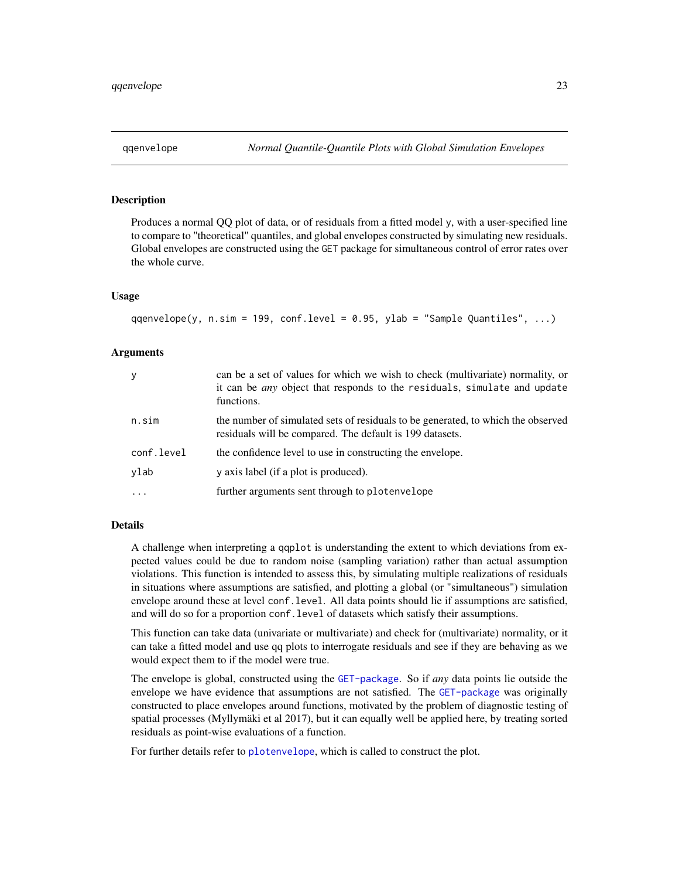<span id="page-22-1"></span><span id="page-22-0"></span>Produces a normal OO plot of data, or of residuals from a fitted model y, with a user-specified line to compare to "theoretical" quantiles, and global envelopes constructed by simulating new residuals. Global envelopes are constructed using the GET package for simultaneous control of error rates over the whole curve.

#### Usage

qqenvelope(y, n.sim = 199, conf.level = 0.95, ylab = "Sample Quantiles", ...)

### **Arguments**

| У          | can be a set of values for which we wish to check (multivariate) normality, or<br>it can be <i>any</i> object that responds to the residuals, simulate and update<br>functions. |
|------------|---------------------------------------------------------------------------------------------------------------------------------------------------------------------------------|
| n.sim      | the number of simulated sets of residuals to be generated, to which the observed<br>residuals will be compared. The default is 199 datasets.                                    |
| conf.level | the confidence level to use in constructing the envelope.                                                                                                                       |
| ylab       | y axis label (if a plot is produced).                                                                                                                                           |
|            | further arguments sent through to plotenvelope                                                                                                                                  |

# Details

A challenge when interpreting a qqplot is understanding the extent to which deviations from expected values could be due to random noise (sampling variation) rather than actual assumption violations. This function is intended to assess this, by simulating multiple realizations of residuals in situations where assumptions are satisfied, and plotting a global (or "simultaneous") simulation envelope around these at level conf.level. All data points should lie if assumptions are satisfied, and will do so for a proportion conf.level of datasets which satisfy their assumptions.

This function can take data (univariate or multivariate) and check for (multivariate) normality, or it can take a fitted model and use qq plots to interrogate residuals and see if they are behaving as we would expect them to if the model were true.

The envelope is global, constructed using the [GET-package](#page-0-0). So if *any* data points lie outside the envelope we have evidence that assumptions are not satisfied. The [GET-package](#page-0-0) was originally constructed to place envelopes around functions, motivated by the problem of diagnostic testing of spatial processes (Myllymäki et al 2017), but it can equally well be applied here, by treating sorted residuals as point-wise evaluations of a function.

For further details refer to [plotenvelope](#page-17-1), which is called to construct the plot.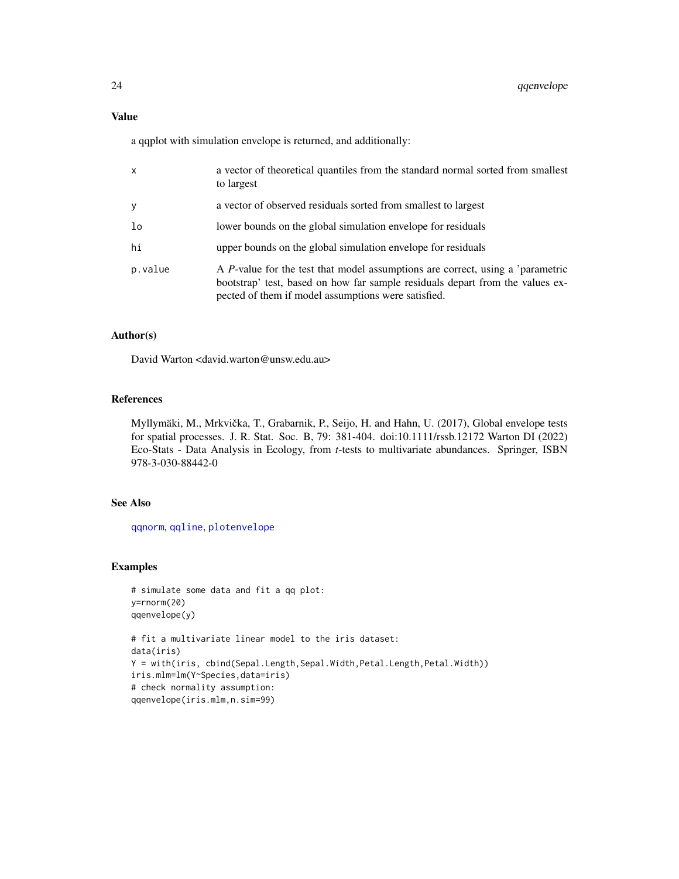<span id="page-23-0"></span>a qqplot with simulation envelope is returned, and additionally:

| $\mathsf{x}$ | a vector of theoretical quantiles from the standard normal sorted from smallest<br>to largest                                                                                                                                  |
|--------------|--------------------------------------------------------------------------------------------------------------------------------------------------------------------------------------------------------------------------------|
| y            | a vector of observed residuals sorted from smallest to largest                                                                                                                                                                 |
| lo           | lower bounds on the global simulation envelope for residuals                                                                                                                                                                   |
| hi           | upper bounds on the global simulation envelope for residuals                                                                                                                                                                   |
| p.value      | A <i>P</i> -value for the test that model assumptions are correct, using a 'parametric<br>bootstrap' test, based on how far sample residuals depart from the values ex-<br>pected of them if model assumptions were satisfied. |

# Author(s)

David Warton <david.warton@unsw.edu.au>

# References

Myllymäki, M., Mrkvička, T., Grabarnik, P., Seijo, H. and Hahn, U. (2017), Global envelope tests for spatial processes. J. R. Stat. Soc. B, 79: 381-404. doi:10.1111/rssb.12172 Warton DI (2022) Eco-Stats - Data Analysis in Ecology, from *t*-tests to multivariate abundances. Springer, ISBN 978-3-030-88442-0

### See Also

[qqnorm](#page-0-0), [qqline](#page-0-0), [plotenvelope](#page-17-1)

```
# simulate some data and fit a qq plot:
y=rnorm(20)
qqenvelope(y)
# fit a multivariate linear model to the iris dataset:
data(iris)
Y = with(iris, cbind(Sepal.Length,Sepal.Width,Petal.Length,Petal.Width))
iris.mlm=lm(Y~Species,data=iris)
# check normality assumption:
qqenvelope(iris.mlm,n.sim=99)
```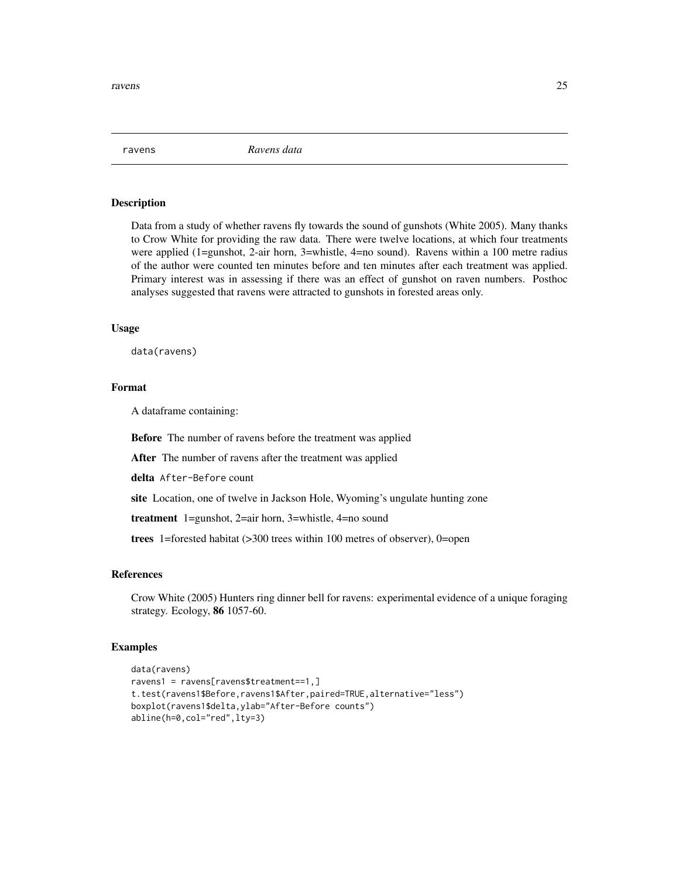<span id="page-24-0"></span>ravens *Ravens data*

# Description

Data from a study of whether ravens fly towards the sound of gunshots (White 2005). Many thanks to Crow White for providing the raw data. There were twelve locations, at which four treatments were applied (1=gunshot, 2-air horn, 3=whistle, 4=no sound). Ravens within a 100 metre radius of the author were counted ten minutes before and ten minutes after each treatment was applied. Primary interest was in assessing if there was an effect of gunshot on raven numbers. Posthoc analyses suggested that ravens were attracted to gunshots in forested areas only.

#### Usage

data(ravens)

# Format

A dataframe containing:

Before The number of ravens before the treatment was applied

After The number of ravens after the treatment was applied

delta After-Before count

site Location, one of twelve in Jackson Hole, Wyoming's ungulate hunting zone

treatment 1=gunshot, 2=air horn, 3=whistle, 4=no sound

trees 1=forested habitat (>300 trees within 100 metres of observer), 0=open

# References

Crow White (2005) Hunters ring dinner bell for ravens: experimental evidence of a unique foraging strategy. Ecology, 86 1057-60.

```
data(ravens)
ravens1 = ravens[ravens$treatment==1,]
t.test(ravens1$Before,ravens1$After,paired=TRUE,alternative="less")
boxplot(ravens1$delta,ylab="After-Before counts")
abline(h=0,col="red",lty=3)
```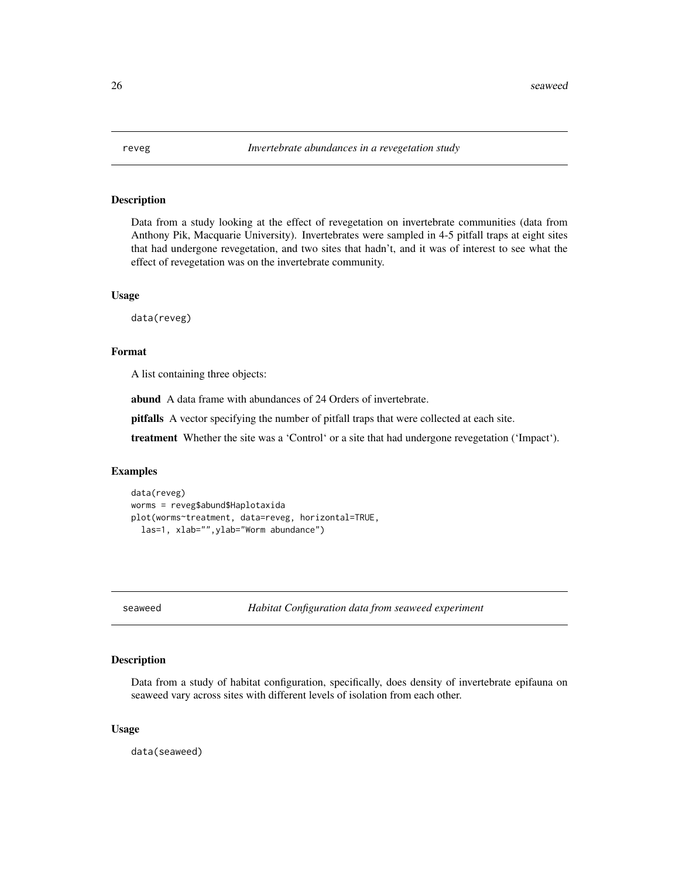<span id="page-25-0"></span>

Data from a study looking at the effect of revegetation on invertebrate communities (data from Anthony Pik, Macquarie University). Invertebrates were sampled in 4-5 pitfall traps at eight sites that had undergone revegetation, and two sites that hadn't, and it was of interest to see what the effect of revegetation was on the invertebrate community.

#### Usage

data(reveg)

#### Format

A list containing three objects:

abund A data frame with abundances of 24 Orders of invertebrate.

pitfalls A vector specifying the number of pitfall traps that were collected at each site.

treatment Whether the site was a 'Control' or a site that had undergone revegetation ('Impact').

#### Examples

```
data(reveg)
worms = reveg$abund$Haplotaxida
plot(worms~treatment, data=reveg, horizontal=TRUE,
  las=1, xlab="",ylab="Worm abundance")
```
seaweed *Habitat Configuration data from seaweed experiment*

# Description

Data from a study of habitat configuration, specifically, does density of invertebrate epifauna on seaweed vary across sites with different levels of isolation from each other.

#### Usage

data(seaweed)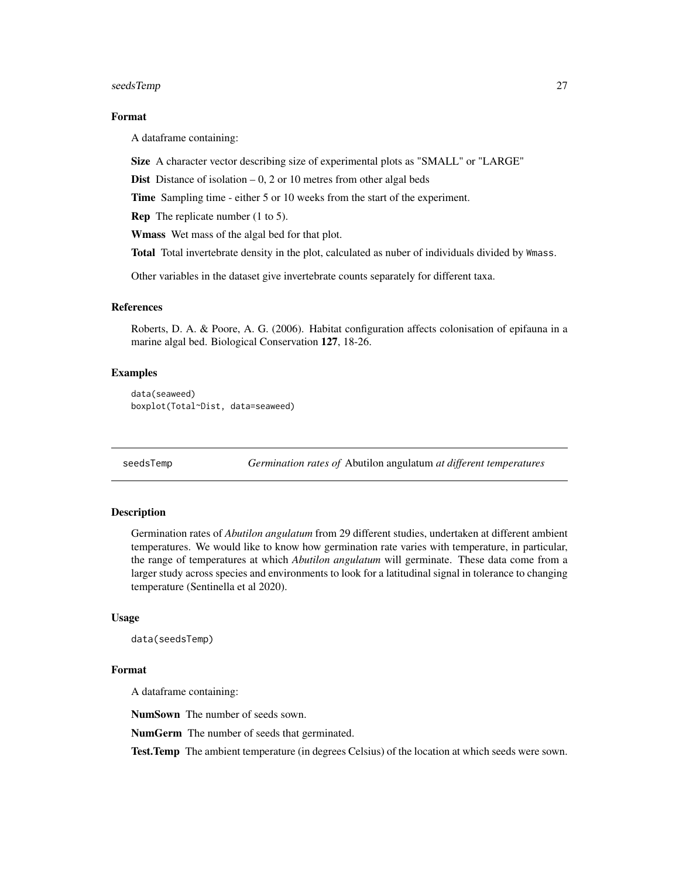<span id="page-26-0"></span>seedsTemp 27

#### Format

A dataframe containing:

Size A character vector describing size of experimental plots as "SMALL" or "LARGE"

**Dist** Distance of isolation  $-0$ , 2 or 10 metres from other algal beds

Time Sampling time - either 5 or 10 weeks from the start of the experiment.

Rep The replicate number (1 to 5).

Wmass Wet mass of the algal bed for that plot.

Total Total invertebrate density in the plot, calculated as nuber of individuals divided by Wmass.

Other variables in the dataset give invertebrate counts separately for different taxa.

#### References

Roberts, D. A. & Poore, A. G. (2006). Habitat configuration affects colonisation of epifauna in a marine algal bed. Biological Conservation 127, 18-26.

# Examples

```
data(seaweed)
boxplot(Total~Dist, data=seaweed)
```
seedsTemp *Germination rates of* Abutilon angulatum *at different temperatures*

#### Description

Germination rates of *Abutilon angulatum* from 29 different studies, undertaken at different ambient temperatures. We would like to know how germination rate varies with temperature, in particular, the range of temperatures at which *Abutilon angulatum* will germinate. These data come from a larger study across species and environments to look for a latitudinal signal in tolerance to changing temperature (Sentinella et al 2020).

#### Usage

```
data(seedsTemp)
```
#### Format

A dataframe containing:

NumSown The number of seeds sown.

NumGerm The number of seeds that germinated.

Test.Temp The ambient temperature (in degrees Celsius) of the location at which seeds were sown.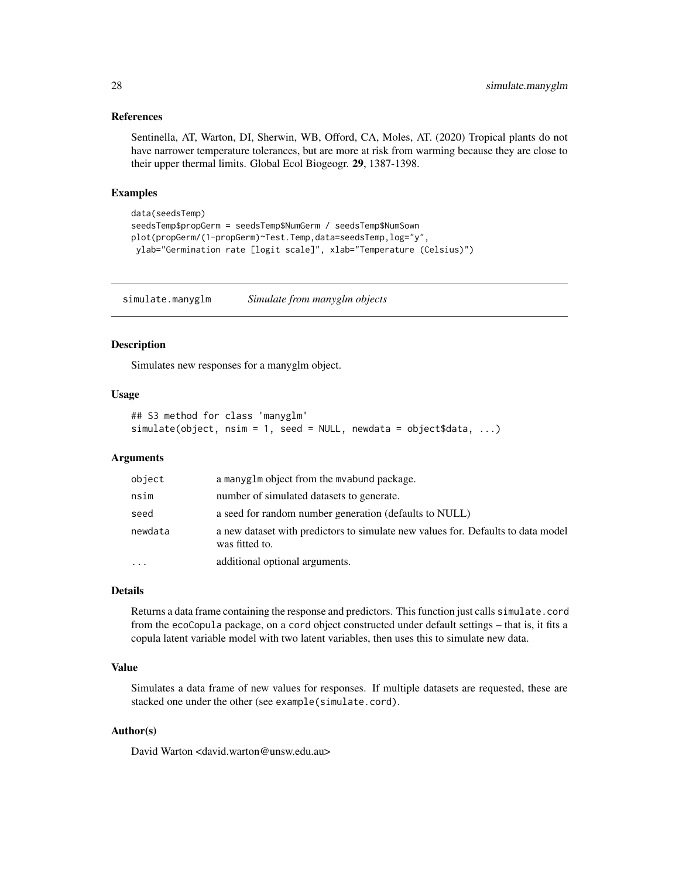# <span id="page-27-0"></span>References

Sentinella, AT, Warton, DI, Sherwin, WB, Offord, CA, Moles, AT. (2020) Tropical plants do not have narrower temperature tolerances, but are more at risk from warming because they are close to their upper thermal limits. Global Ecol Biogeogr. 29, 1387-1398.

### Examples

```
data(seedsTemp)
seedsTemp$propGerm = seedsTemp$NumGerm / seedsTemp$NumSown
plot(propGerm/(1-propGerm)~Test.Temp,data=seedsTemp,log="y",
ylab="Germination rate [logit scale]", xlab="Temperature (Celsius)")
```
simulate.manyglm *Simulate from manyglm objects*

### Description

Simulates new responses for a manyglm object.

#### Usage

```
## S3 method for class 'manyglm'
simulate(object, nsim = 1, seed = NULL, newdata = object$data, ...)
```
# Arguments

| object   | a manyglm object from the mvabund package.                                                         |
|----------|----------------------------------------------------------------------------------------------------|
| nsim     | number of simulated datasets to generate.                                                          |
| seed     | a seed for random number generation (defaults to NULL)                                             |
| newdata  | a new dataset with predictors to simulate new values for. Defaults to data model<br>was fitted to. |
| $\cdots$ | additional optional arguments.                                                                     |

#### Details

Returns a data frame containing the response and predictors. This function just calls simulate.cord from the ecoCopula package, on a cord object constructed under default settings – that is, it fits a copula latent variable model with two latent variables, then uses this to simulate new data.

#### Value

Simulates a data frame of new values for responses. If multiple datasets are requested, these are stacked one under the other (see example(simulate.cord).

# Author(s)

David Warton <david.warton@unsw.edu.au>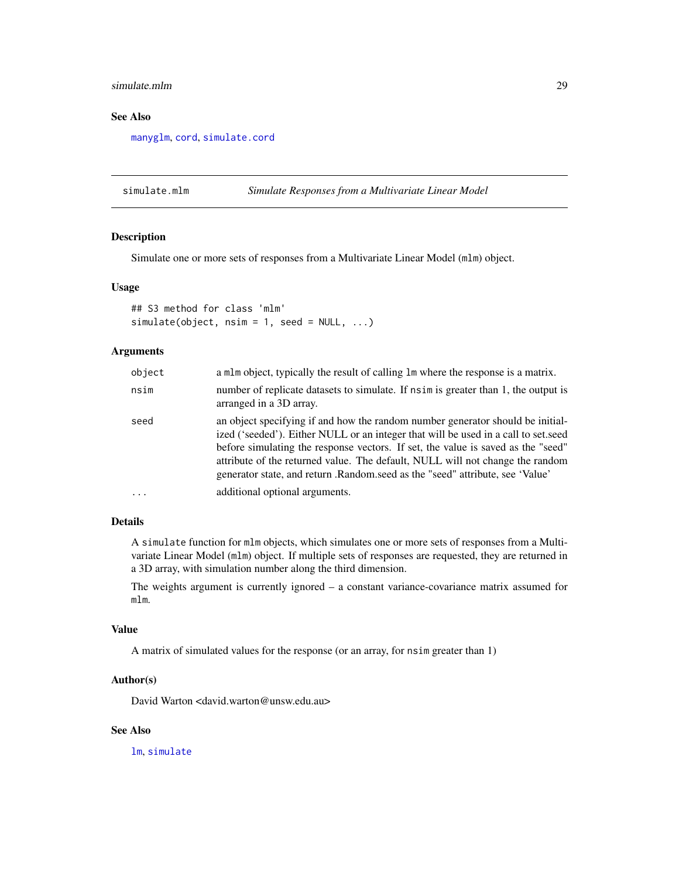# <span id="page-28-0"></span>simulate.mlm 29

# See Also

[manyglm](#page-0-0), [cord](#page-0-0), [simulate.cord](#page-0-0)

simulate.mlm *Simulate Responses from a Multivariate Linear Model*

# Description

Simulate one or more sets of responses from a Multivariate Linear Model (mlm) object.

# Usage

```
## S3 method for class 'mlm'
simulate(object, nsim = 1, seed = NULL, ...)
```
#### Arguments

| object   | a mlm object, typically the result of calling lm where the response is a matrix.                                                                                                                                                                                                                                                                                                                                           |
|----------|----------------------------------------------------------------------------------------------------------------------------------------------------------------------------------------------------------------------------------------------------------------------------------------------------------------------------------------------------------------------------------------------------------------------------|
| nsim     | number of replicate datasets to simulate. If nsim is greater than 1, the output is<br>arranged in a 3D array.                                                                                                                                                                                                                                                                                                              |
| seed     | an object specifying if and how the random number generator should be initial-<br>ized ('seeded'). Either NULL or an integer that will be used in a call to set.seed<br>before simulating the response vectors. If set, the value is saved as the "seed"<br>attribute of the returned value. The default, NULL will not change the random<br>generator state, and return .Random.seed as the "seed" attribute, see 'Value' |
| $\ddots$ | additional optional arguments.                                                                                                                                                                                                                                                                                                                                                                                             |

# Details

A simulate function for mlm objects, which simulates one or more sets of responses from a Multivariate Linear Model (mlm) object. If multiple sets of responses are requested, they are returned in a 3D array, with simulation number along the third dimension.

The weights argument is currently ignored – a constant variance-covariance matrix assumed for mlm.

# Value

A matrix of simulated values for the response (or an array, for nsim greater than 1)

# Author(s)

David Warton <david.warton@unsw.edu.au>

# See Also

[lm](#page-0-0), [simulate](#page-0-0)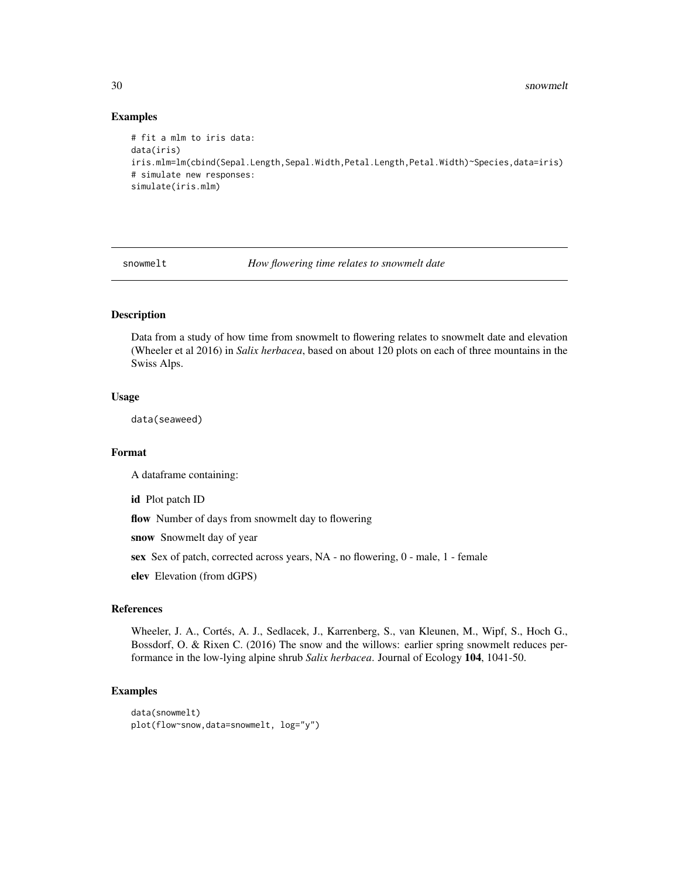# Examples

```
# fit a mlm to iris data:
data(iris)
iris.mlm=lm(cbind(Sepal.Length,Sepal.Width,Petal.Length,Petal.Width)~Species,data=iris)
# simulate new responses:
simulate(iris.mlm)
```
snowmelt *How flowering time relates to snowmelt date*

# Description

Data from a study of how time from snowmelt to flowering relates to snowmelt date and elevation (Wheeler et al 2016) in *Salix herbacea*, based on about 120 plots on each of three mountains in the Swiss Alps.

# Usage

data(seaweed)

# Format

A dataframe containing:

id Plot patch ID

flow Number of days from snowmelt day to flowering

snow Snowmelt day of year

sex Sex of patch, corrected across years, NA - no flowering, 0 - male, 1 - female

elev Elevation (from dGPS)

#### References

Wheeler, J. A., Cortés, A. J., Sedlacek, J., Karrenberg, S., van Kleunen, M., Wipf, S., Hoch G., Bossdorf, O. & Rixen C. (2016) The snow and the willows: earlier spring snowmelt reduces performance in the low-lying alpine shrub *Salix herbacea*. Journal of Ecology 104, 1041-50.

```
data(snowmelt)
plot(flow~snow,data=snowmelt, log="y")
```
<span id="page-29-0"></span>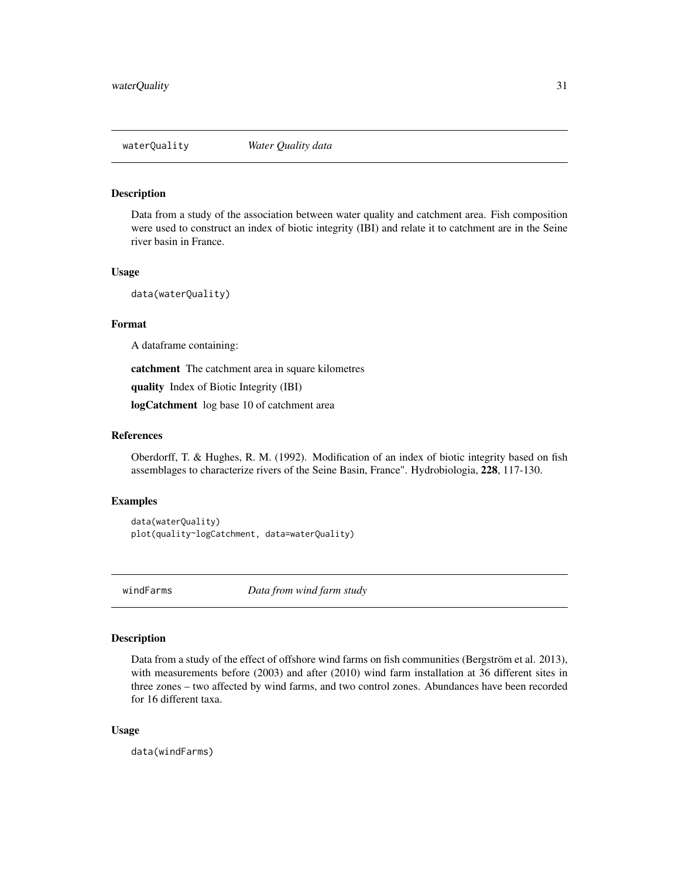<span id="page-30-0"></span>

Data from a study of the association between water quality and catchment area. Fish composition were used to construct an index of biotic integrity (IBI) and relate it to catchment are in the Seine river basin in France.

#### Usage

data(waterQuality)

# Format

A dataframe containing:

catchment The catchment area in square kilometres

quality Index of Biotic Integrity (IBI)

logCatchment log base 10 of catchment area

# References

Oberdorff, T. & Hughes, R. M. (1992). Modification of an index of biotic integrity based on fish assemblages to characterize rivers of the Seine Basin, France". Hydrobiologia, 228, 117-130.

# Examples

```
data(waterQuality)
plot(quality~logCatchment, data=waterQuality)
```
windFarms *Data from wind farm study*

#### Description

Data from a study of the effect of offshore wind farms on fish communities (Bergström et al. 2013), with measurements before (2003) and after (2010) wind farm installation at 36 different sites in three zones – two affected by wind farms, and two control zones. Abundances have been recorded for 16 different taxa.

#### Usage

data(windFarms)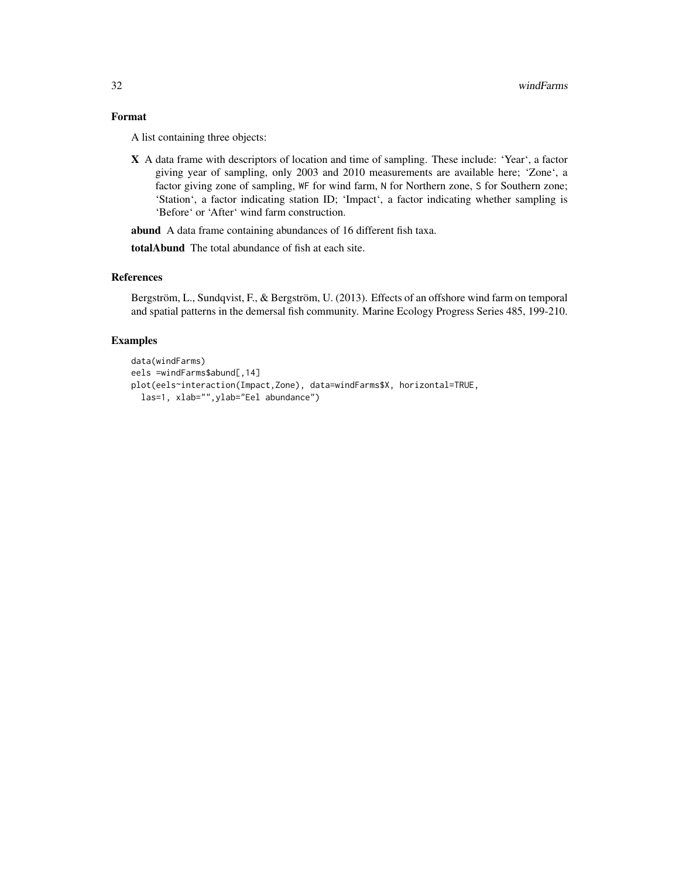# Format

A list containing three objects:

X A data frame with descriptors of location and time of sampling. These include: 'Year', a factor giving year of sampling, only 2003 and 2010 measurements are available here; 'Zone', a factor giving zone of sampling, WF for wind farm, N for Northern zone, S for Southern zone; 'Station', a factor indicating station ID; 'Impact', a factor indicating whether sampling is 'Before' or 'After' wind farm construction.

abund A data frame containing abundances of 16 different fish taxa.

totalAbund The total abundance of fish at each site.

#### References

Bergström, L., Sundqvist, F., & Bergström, U. (2013). Effects of an offshore wind farm on temporal and spatial patterns in the demersal fish community. Marine Ecology Progress Series 485, 199-210.

```
data(windFarms)
eels =windFarms$abund[,14]
plot(eels~interaction(Impact,Zone), data=windFarms$X, horizontal=TRUE,
  las=1, xlab="",ylab="Eel abundance")
```